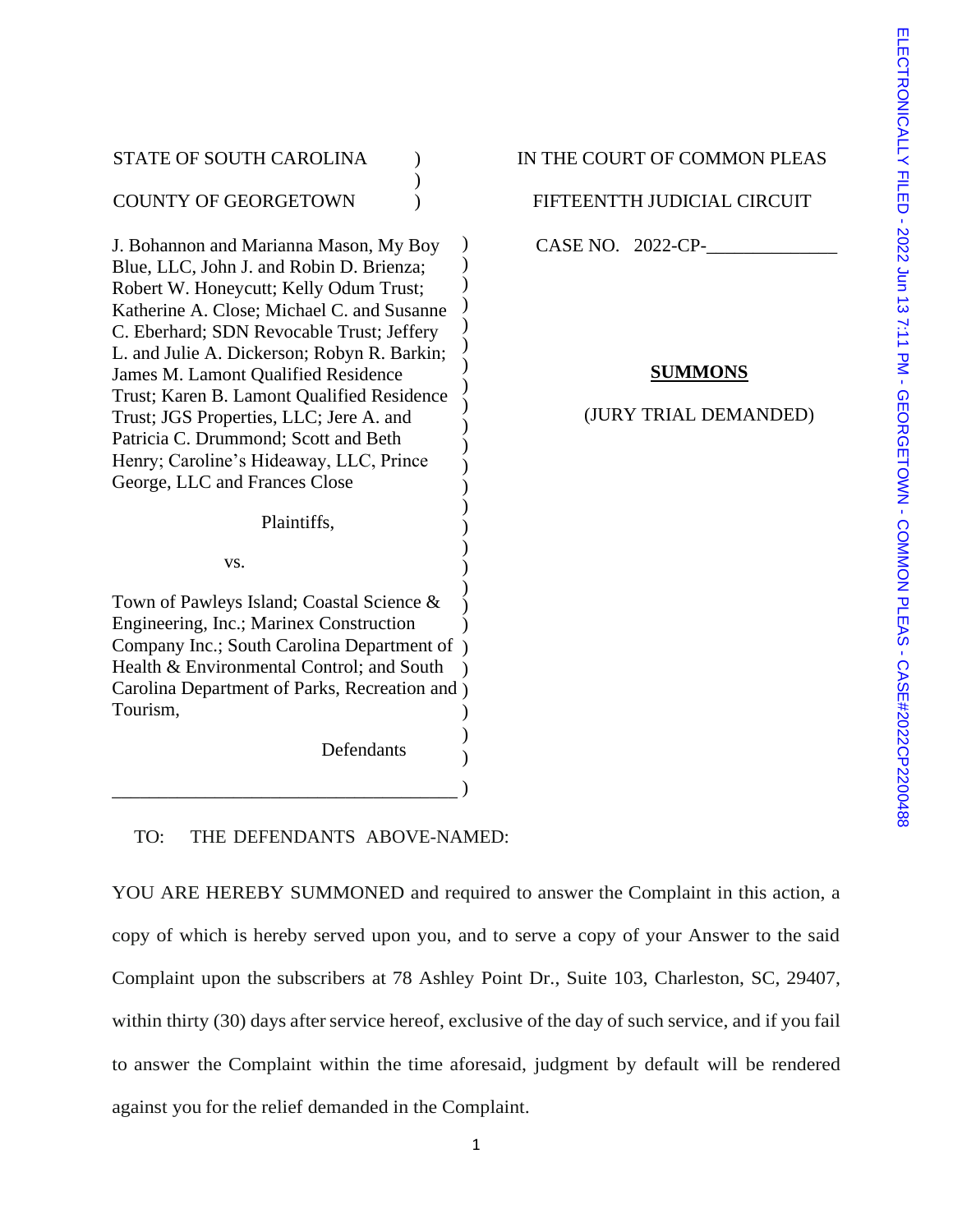| <b>STATE OF SOUTH CAROLINA</b>                                                                                                                                                                                                                                                                                                                                                                                                                                                   | IN THE COUR |
|----------------------------------------------------------------------------------------------------------------------------------------------------------------------------------------------------------------------------------------------------------------------------------------------------------------------------------------------------------------------------------------------------------------------------------------------------------------------------------|-------------|
| <b>COUNTY OF GEORGETOWN</b>                                                                                                                                                                                                                                                                                                                                                                                                                                                      | FIFTEENTT   |
| J. Bohannon and Marianna Mason, My Boy                                                                                                                                                                                                                                                                                                                                                                                                                                           | CASE NO.    |
| Blue, LLC, John J. and Robin D. Brienza;<br>Robert W. Honeycutt; Kelly Odum Trust;<br>Katherine A. Close; Michael C. and Susanne<br>C. Eberhard; SDN Revocable Trust; Jeffery<br>L. and Julie A. Dickerson; Robyn R. Barkin;<br>James M. Lamont Qualified Residence<br>Trust; Karen B. Lamont Qualified Residence<br>Trust; JGS Properties, LLC; Jere A. and<br>Patricia C. Drummond; Scott and Beth<br>Henry; Caroline's Hideaway, LLC, Prince<br>George, LLC and Frances Close | (JURY       |
| Plaintiffs,                                                                                                                                                                                                                                                                                                                                                                                                                                                                      |             |
| VS.                                                                                                                                                                                                                                                                                                                                                                                                                                                                              |             |
| Town of Pawleys Island; Coastal Science &<br>Engineering, Inc.; Marinex Construction<br>Company Inc.; South Carolina Department of<br>Health & Environmental Control; and South<br>Carolina Department of Parks, Recreation and)<br>Tourism.<br>Defendants                                                                                                                                                                                                                       |             |
|                                                                                                                                                                                                                                                                                                                                                                                                                                                                                  |             |

# T OF COMMON PLEAS

H JUDICIAL CIRCUIT

2022-CP-

# **SUMMONS**

# TRIAL DEMANDED)

TO: THE DEFENDANTS ABOVE-NAMED:

YOU ARE HEREBY SUMMONED and required to answer the Complaint in this action, a copy of which is hereby served upon you, and to serve a copy of your Answer to the said Complaint upon the subscribers at 78 Ashley Point Dr., Suite 103, Charleston, SC, 29407, within thirty (30) days after service hereof, exclusive of the day of such service, and if you fail to answer the Complaint within the time aforesaid, judgment by default will be rendered against you for the relief demanded in the Complaint.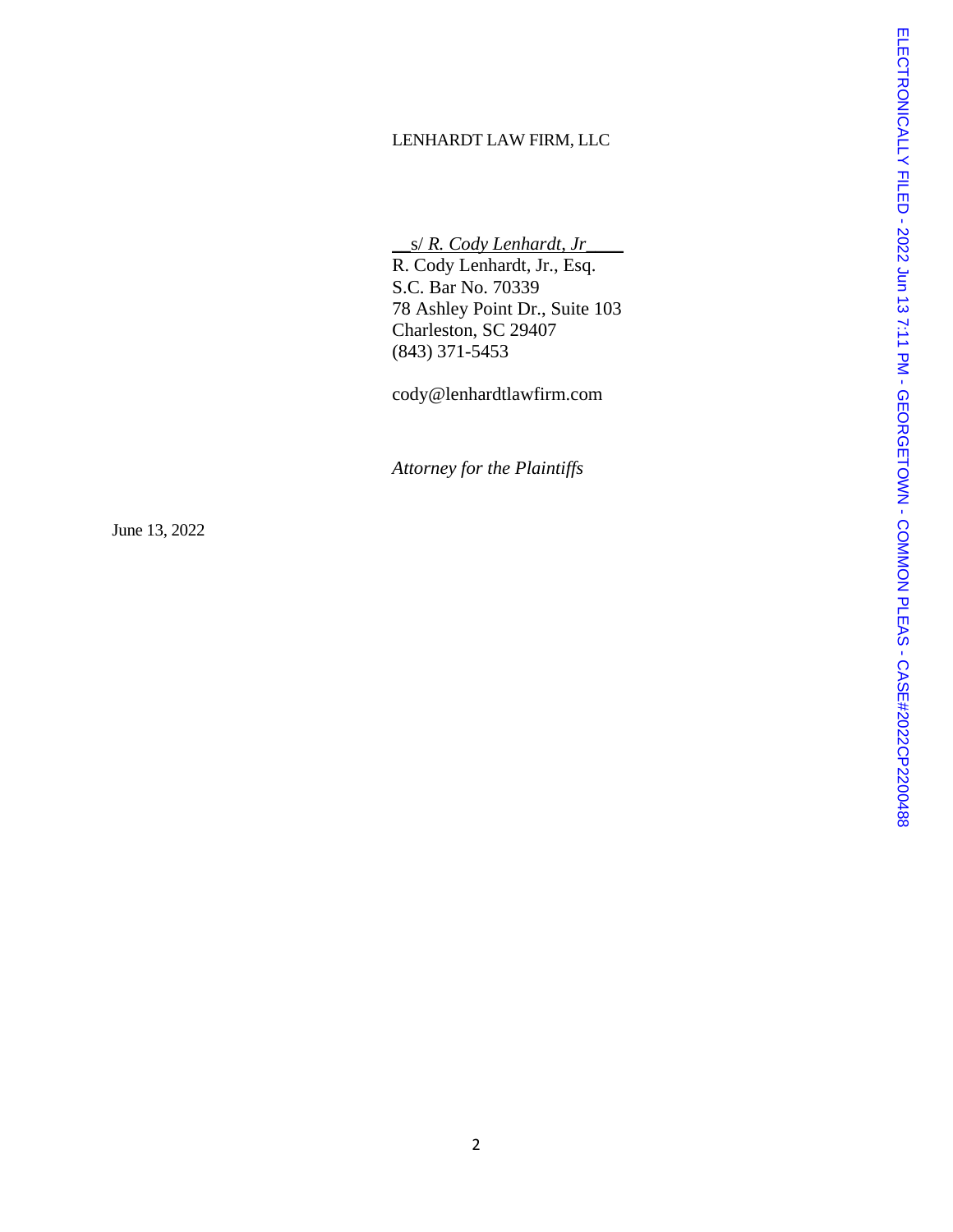### LENHARDT LAW FIRM, LLC

\_\_s/ *R. Cody Lenhardt, Jr*\_\_\_\_

R. Cody Lenhardt, Jr., Esq. S.C. Bar No. 70339 78 Ashley Point Dr., Suite 103 Charleston, SC 29407 (843) 371 -5453

cody@lenhardtlawfirm.com

*Attorney for the Plaintiffs*

June 1 3, 2022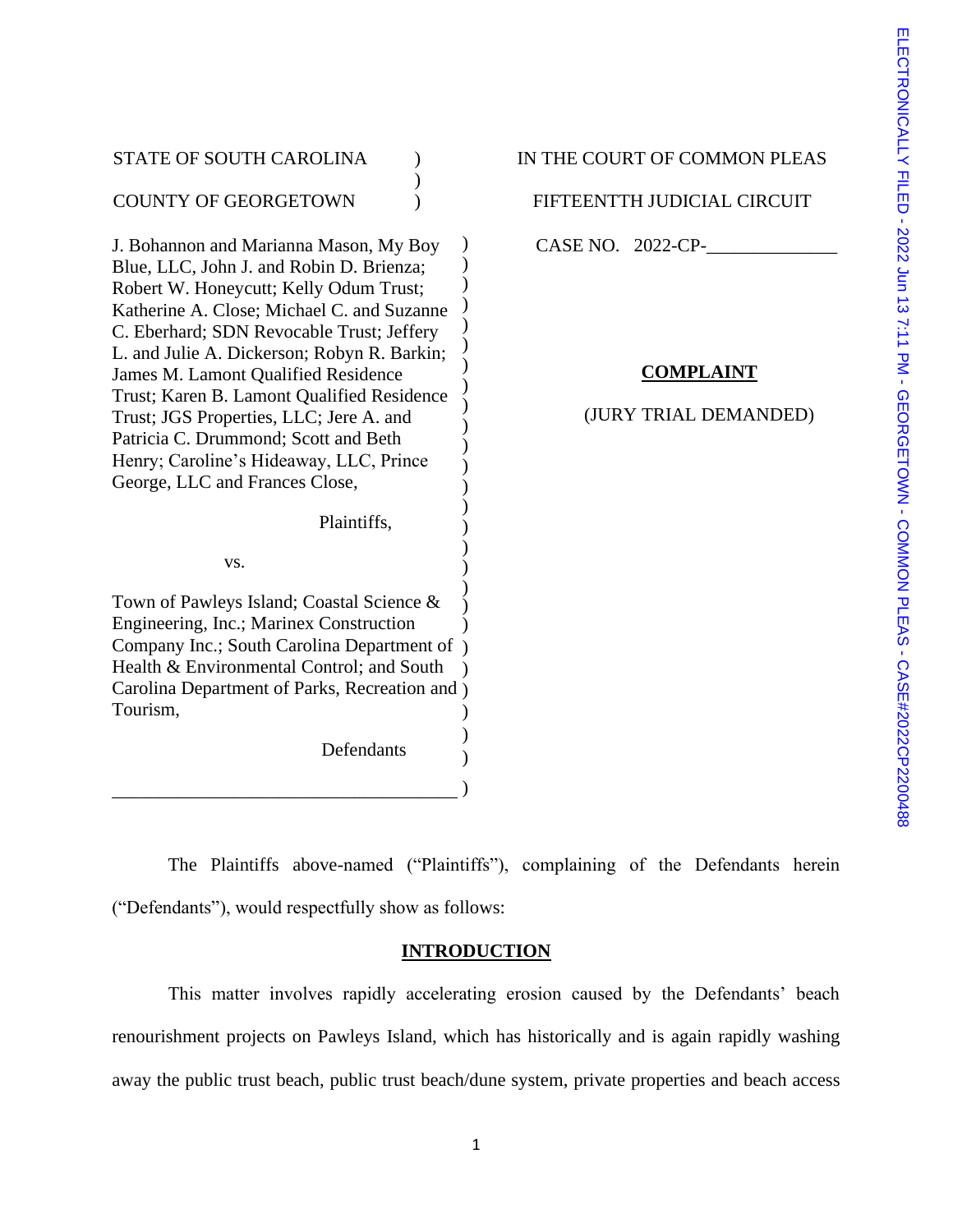| STATE OF SOUTH CAROLINA                                                              | IN THE COURT OF |
|--------------------------------------------------------------------------------------|-----------------|
| <b>COUNTY OF GEORGETOWN</b>                                                          | FIFTEENTTH JUL  |
| J. Bohannon and Marianna Mason, My Boy                                               | CASE NO. 2022-  |
| Blue, LLC, John J. and Robin D. Brienza;                                             |                 |
| Robert W. Honeycutt; Kelly Odum Trust;                                               |                 |
| Katherine A. Close; Michael C. and Suzanne                                           |                 |
| C. Eberhard; SDN Revocable Trust; Jeffery                                            |                 |
| L. and Julie A. Dickerson; Robyn R. Barkin;                                          |                 |
| James M. Lamont Qualified Residence                                                  | CON             |
| Trust; Karen B. Lamont Qualified Residence                                           | (JURY TRIA      |
| Trust; JGS Properties, LLC; Jere A. and<br>Patricia C. Drummond; Scott and Beth      |                 |
| Henry; Caroline's Hideaway, LLC, Prince                                              |                 |
| George, LLC and Frances Close,                                                       |                 |
| Plaintiffs,                                                                          |                 |
| VS.                                                                                  |                 |
|                                                                                      |                 |
| Town of Pawleys Island; Coastal Science &<br>Engineering, Inc.; Marinex Construction |                 |
| Company Inc.; South Carolina Department of                                           |                 |
| Health & Environmental Control; and South                                            |                 |
| Carolina Department of Parks, Recreation and)                                        |                 |
| Tourism,                                                                             |                 |
|                                                                                      |                 |
| Defendants                                                                           |                 |
|                                                                                      |                 |
|                                                                                      |                 |

COMMON PLEAS

DICIAL CIRCUIT

 $CP-$ 

# **COMPLAINT**

# AL DEMANDED)

The Plaintiffs above-named ("Plaintiffs"), complaining of the Defendants herein ("Defendants"), would respectfully show as follows:

## **INTRODUCTION**

This matter involves rapidly accelerating erosion caused by the Defendants' beach renourishment projects on Pawleys Island, which has historically and is again rapidly washing away the public trust beach, public trust beach/dune system, private properties and beach access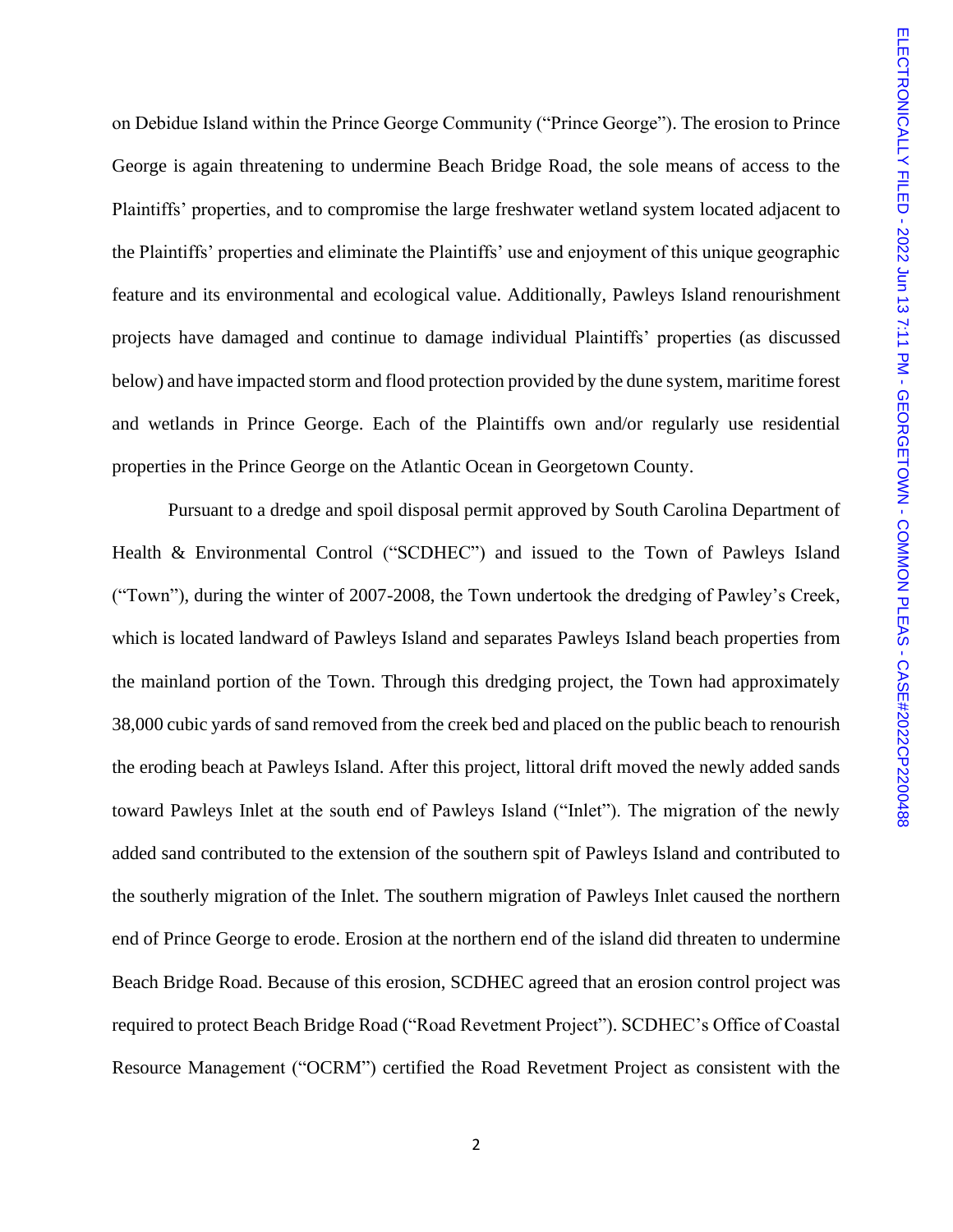on Debidue Island within the Prince George Community ("Prince George"). The erosion to Prince George is again threatening to undermine Beach Bridge Road, the sole means of access to the Plaintiffs' properties, and to compromise the large freshwater wetland system located adjacent to the Plaintiffs' properties and eliminate the Plaintiffs' use and enjoyment of this unique geographic feature and its environmental and ecological value. Additionally, Pawleys Island renourishment projects have damaged and continue to damage individual Plaintiffs' properties (as discussed below) and have impacted storm and flood protection provided by the dune system, maritime forest and wetlands in Prince George. Each of the Plaintiffs own and/or regularly use residential properties in the Prince George on the Atlantic Ocean in Georgetown County.

Pursuant to a dredge and spoil disposal permit approved by South Carolina Department of Health & Environmental Control ("SCDHEC") and issued to the Town of Pawleys Island ("Town"), during the winter of 2007-2008, the Town undertook the dredging of Pawley's Creek, which is located landward of Pawleys Island and separates Pawleys Island beach properties from the mainland portion of the Town. Through this dredging project, the Town had approximately 38,000 cubic yards of sand removed from the creek bed and placed on the public beach to renourish the eroding beach at Pawleys Island. After this project, littoral drift moved the newly added sands toward Pawleys Inlet at the south end of Pawleys Island ("Inlet"). The migration of the newly added sand contributed to the extension of the southern spit of Pawleys Island and contributed to the southerly migration of the Inlet. The southern migration of Pawleys Inlet caused the northern end of Prince George to erode. Erosion at the northern end of the island did threaten to undermine Beach Bridge Road. Because of this erosion, SCDHEC agreed that an erosion control project was required to protect Beach Bridge Road ("Road Revetment Project"). SCDHEC's Office of Coastal Resource Management ("OCRM") certified the Road Revetment Project as consistent with the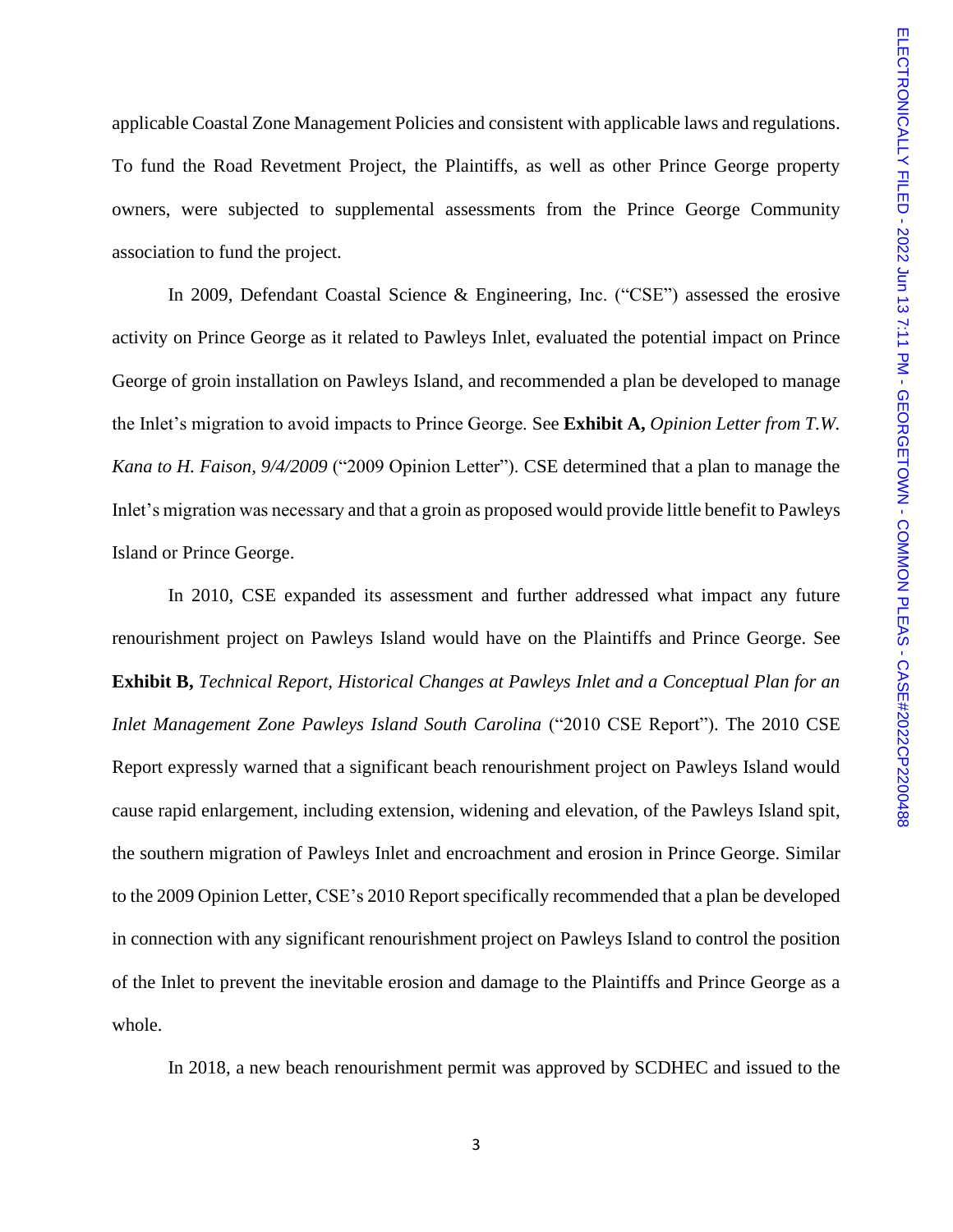applicable Coastal Zone Management Policies and consistent with applicable laws and regulations. To fund the Road Revetment Project, the Plaintiffs, as well as other Prince George property owners, were subjected to supplemental assessments from the Prince George Community association to fund the project.

In 2009, Defendant Coastal Science & Engineering, Inc. ("CSE") assessed the erosive activity on Prince George as it related to Pawleys Inlet, evaluated the potential impact on Prince George of groin installation on Pawleys Island, and recommended a plan be developed to manage the Inlet's migration to avoid impacts to Prince George. See **Exhibit A,** *Opinion Letter from T.W. Kana to H. Faison, 9/4/2009* ("2009 Opinion Letter"). CSE determined that a plan to manage the Inlet's migration was necessary and that a groin as proposed would provide little benefit to Pawleys Island or Prince George.

In 2010, CSE expanded its assessment and further addressed what impact any future renourishment project on Pawleys Island would have on the Plaintiffs and Prince George. See **Exhibit B,** *Technical Report, Historical Changes at Pawleys Inlet and a Conceptual Plan for an Inlet Management Zone Pawleys Island South Carolina* ("2010 CSE Report"). The 2010 CSE Report expressly warned that a significant beach renourishment project on Pawleys Island would cause rapid enlargement, including extension, widening and elevation, of the Pawleys Island spit, the southern migration of Pawleys Inlet and encroachment and erosion in Prince George. Similar to the 2009 Opinion Letter, CSE's 2010 Report specifically recommended that a plan be developed in connection with any significant renourishment project on Pawleys Island to control the position of the Inlet to prevent the inevitable erosion and damage to the Plaintiffs and Prince George as a whole.

In 2018, a new beach renourishment permit was approved by SCDHEC and issued to the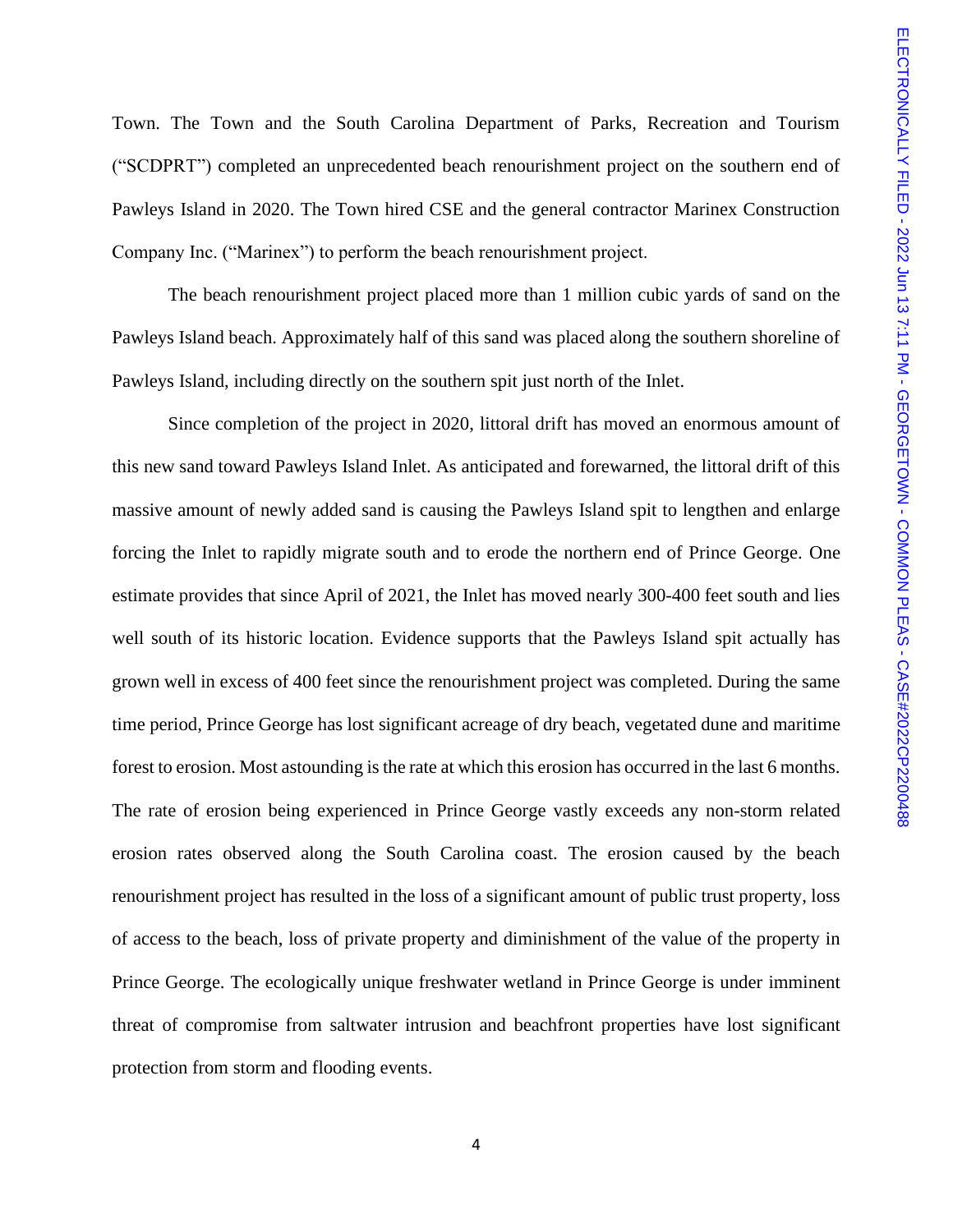Town. The Town and the South Carolina Department of Parks, Recreation and Tourism ("SCDPRT") completed an unprecedented beach renourishment project on the southern end of Pawleys Island in 2020. The Town hired CSE and the general contractor Marinex Construction Company Inc. ("Marinex") to perform the beach renourishment project.

The beach renourishment project placed more than 1 million cubic yards of sand on the Pawleys Island beach. Approximately half of this sand was placed along the southern shoreline of Pawleys Island, including directly on the southern spit just north of the Inlet.

Since completion of the project in 2020, littoral drift has moved an enormous amount of this new sand toward Pawleys Island Inlet. As anticipated and forewarned, the littoral drift of this massive amount of newly added sand is causing the Pawleys Island spit to lengthen and enlarge forcing the Inlet to rapidly migrate south and to erode the northern end of Prince George. One estimate provides that since April of 2021, the Inlet has moved nearly 300-400 feet south and lies well south of its historic location. Evidence supports that the Pawleys Island spit actually has grown well in excess of 400 feet since the renourishment project was completed. During the same time period, Prince George has lost significant acreage of dry beach, vegetated dune and maritime forest to erosion. Most astounding is the rate at which this erosion has occurred in the last 6 months. The rate of erosion being experienced in Prince George vastly exceeds any non-storm related erosion rates observed along the South Carolina coast. The erosion caused by the beach renourishment project has resulted in the loss of a significant amount of public trust property, loss of access to the beach, loss of private property and diminishment of the value of the property in Prince George. The ecologically unique freshwater wetland in Prince George is under imminent threat of compromise from saltwater intrusion and beachfront properties have lost significant protection from storm and flooding events.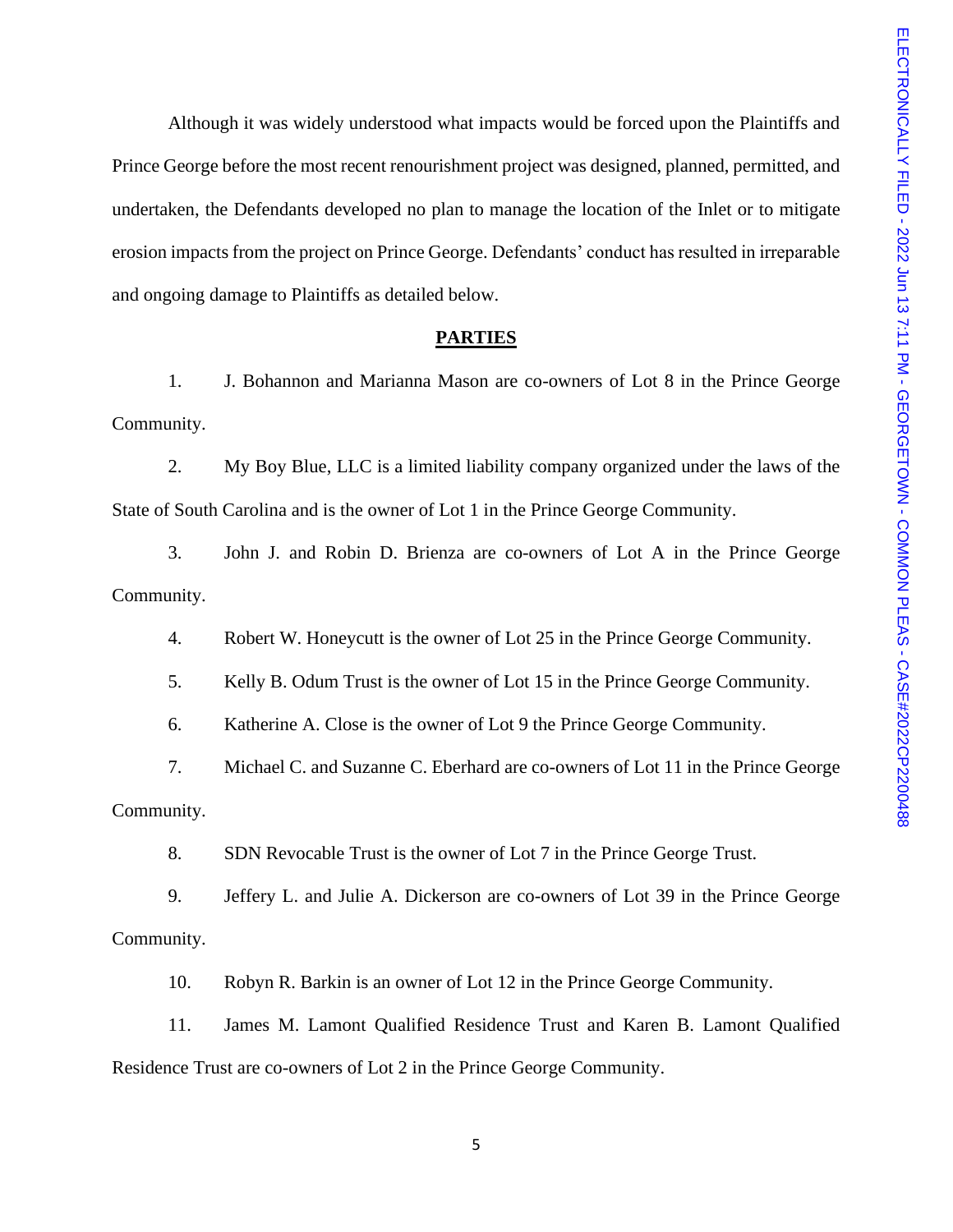Although it was widely understood what impacts would be forced upon the Plaintiffs and Prince George before the most recent renourishment project was designed, planned, permitted, and undertaken, the Defendants developed no plan to manage the location of the Inlet or to mitigate erosion impacts from the project on Prince George. Defendants' conduct has resulted in irreparable and ongoing damage to Plaintiffs as detailed below.

#### **PARTIES**

1. J. Bohannon and Marianna Mason are co-owners of Lot 8 in the Prince George Community.

2. My Boy Blue, LLC is a limited liability company organized under the laws of the State of South Carolina and is the owner of Lot 1 in the Prince George Community.

3. John J. and Robin D. Brienza are co-owners of Lot A in the Prince George Community.

4. Robert W. Honeycutt is the owner of Lot 25 in the Prince George Community.

5. Kelly B. Odum Trust is the owner of Lot 15 in the Prince George Community.

6. Katherine A. Close is the owner of Lot 9 the Prince George Community.

7. Michael C. and Suzanne C. Eberhard are co-owners of Lot 11 in the Prince George Community.

8. SDN Revocable Trust is the owner of Lot 7 in the Prince George Trust.

9. Jeffery L. and Julie A. Dickerson are co-owners of Lot 39 in the Prince George Community.

10. Robyn R. Barkin is an owner of Lot 12 in the Prince George Community.

11. James M. Lamont Qualified Residence Trust and Karen B. Lamont Qualified Residence Trust are co-owners of Lot 2 in the Prince George Community.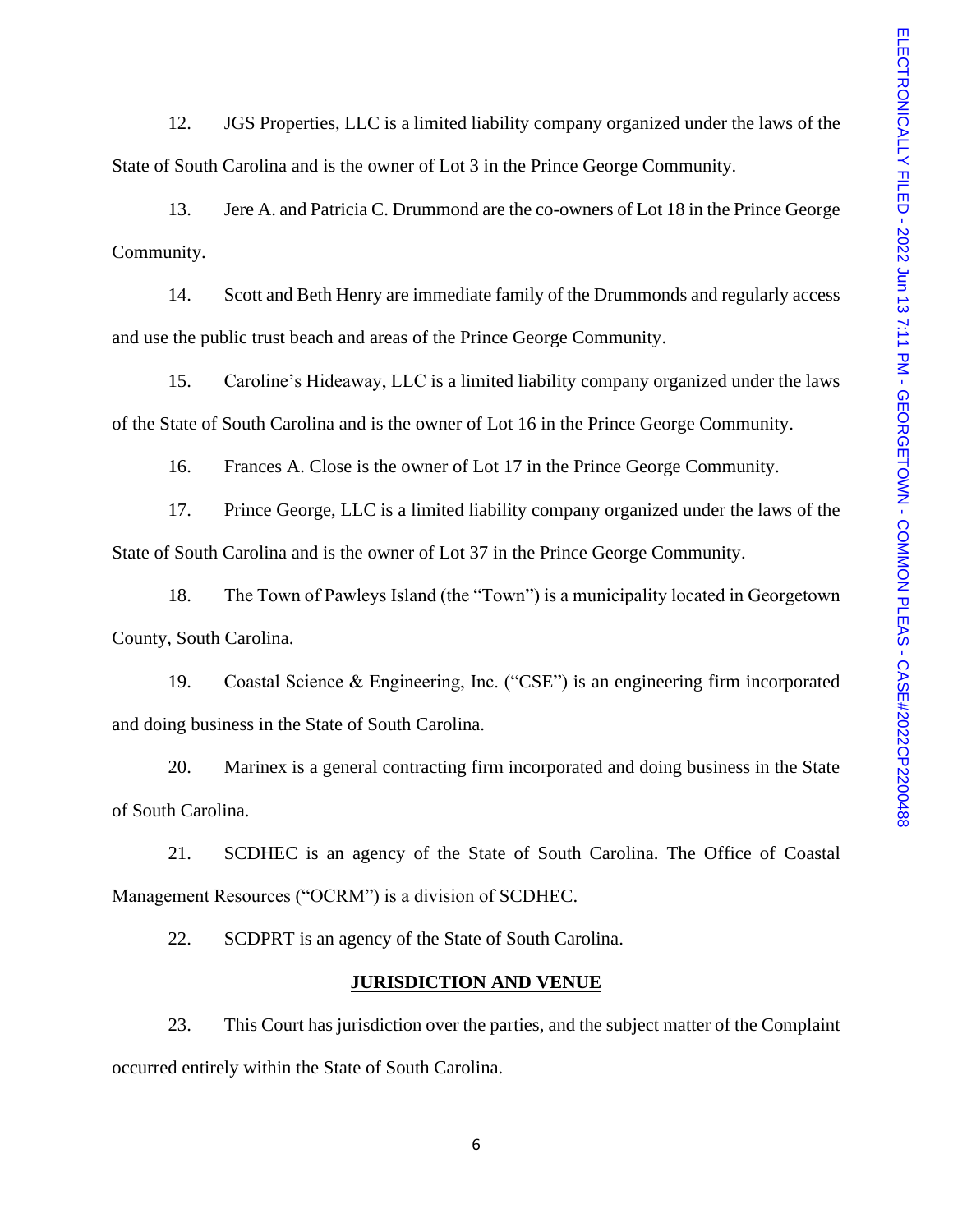12. JGS Properties, LLC is a limited liability company organized under the laws of the State of South Carolina and is the owner of Lot 3 in the Prince George Community.

13. Jere A. and Patricia C. Drummond are the co-owners of Lot 18 in the Prince George Community.

14. Scott and Beth Henry are immediate family of the Drummonds and regularly access and use the public trust beach and areas of the Prince George Community.

15. Caroline's Hideaway, LLC is a limited liability company organized under the laws of the State of South Carolina and is the owner of Lot 16 in the Prince George Community.

16. Frances A. Close is the owner of Lot 17 in the Prince George Community.

17. Prince George, LLC is a limited liability company organized under the laws of the State of South Carolina and is the owner of Lot 37 in the Prince George Community.

18. The Town of Pawleys Island (the "Town") is a municipality located in Georgetown County, South Carolina.

19. Coastal Science & Engineering, Inc. ("CSE") is an engineering firm incorporated and doing business in the State of South Carolina.

20. Marinex is a general contracting firm incorporated and doing business in the State of South Carolina.

21. SCDHEC is an agency of the State of South Carolina. The Office of Coastal Management Resources ("OCRM") is a division of SCDHEC.

22. SCDPRT is an agency of the State of South Carolina.

#### **JURISDICTION AND VENUE**

23. This Court has jurisdiction over the parties, and the subject matter of the Complaint occurred entirely within the State of South Carolina.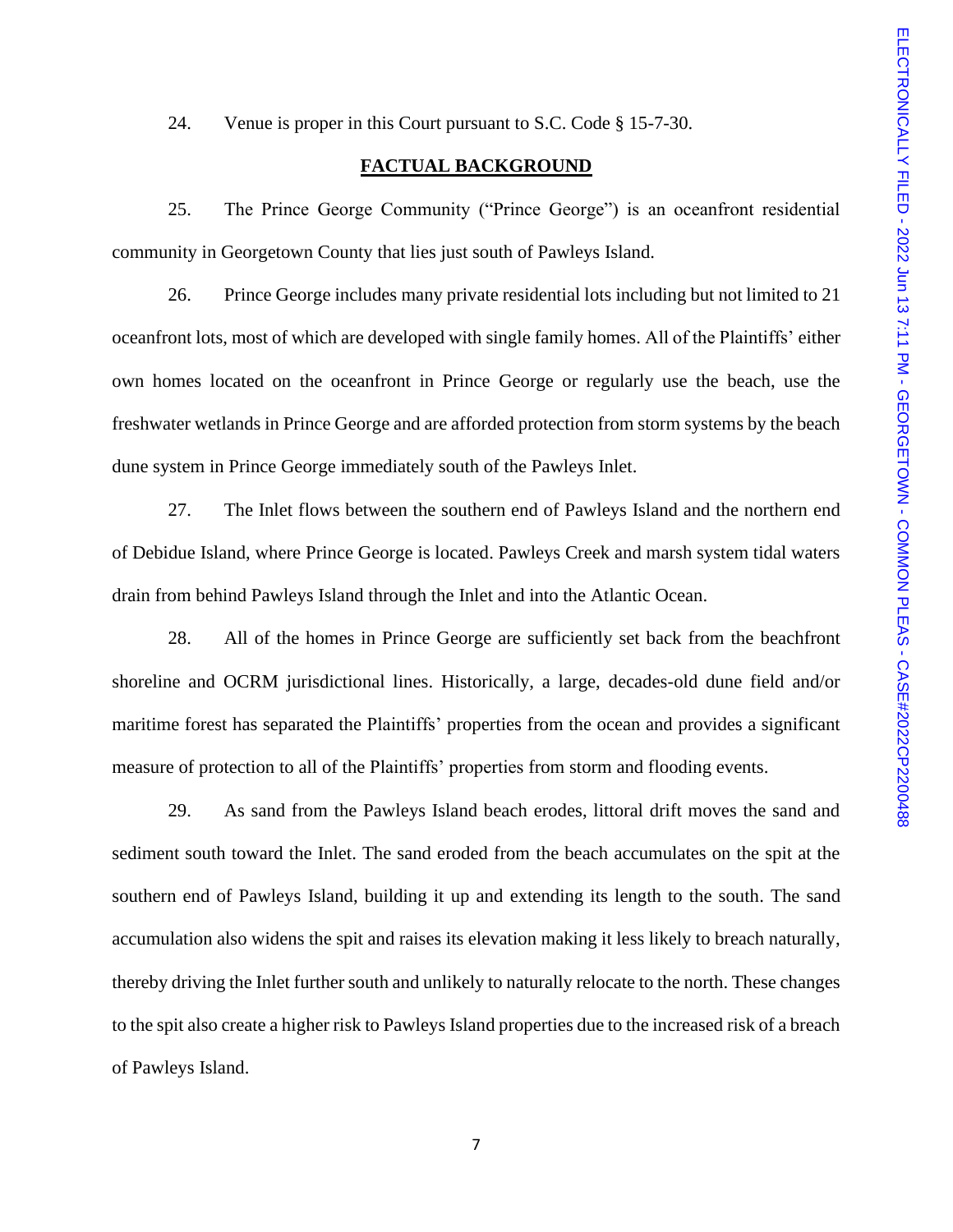24. Venue is proper in this Court pursuant to S.C. Code § 15-7-30.

### **FACTUAL BACKGROUND**

25. The Prince George Community ("Prince George") is an oceanfront residential community in Georgetown County that lies just south of Pawleys Island.

26. Prince George includes many private residential lots including but not limited to 21 oceanfront lots, most of which are developed with single family homes. All of the Plaintiffs' either own homes located on the oceanfront in Prince George or regularly use the beach, use the freshwater wetlands in Prince George and are afforded protection from storm systems by the beach dune system in Prince George immediately south of the Pawleys Inlet.

27. The Inlet flows between the southern end of Pawleys Island and the northern end of Debidue Island, where Prince George is located. Pawleys Creek and marsh system tidal waters drain from behind Pawleys Island through the Inlet and into the Atlantic Ocean.

28. All of the homes in Prince George are sufficiently set back from the beachfront shoreline and OCRM jurisdictional lines. Historically, a large, decades-old dune field and/or maritime forest has separated the Plaintiffs' properties from the ocean and provides a significant measure of protection to all of the Plaintiffs' properties from storm and flooding events.

29. As sand from the Pawleys Island beach erodes, littoral drift moves the sand and sediment south toward the Inlet. The sand eroded from the beach accumulates on the spit at the southern end of Pawleys Island, building it up and extending its length to the south. The sand accumulation also widens the spit and raises its elevation making it less likely to breach naturally, thereby driving the Inlet further south and unlikely to naturally relocate to the north. These changes to the spit also create a higher risk to Pawleys Island properties due to the increased risk of a breach of Pawleys Island.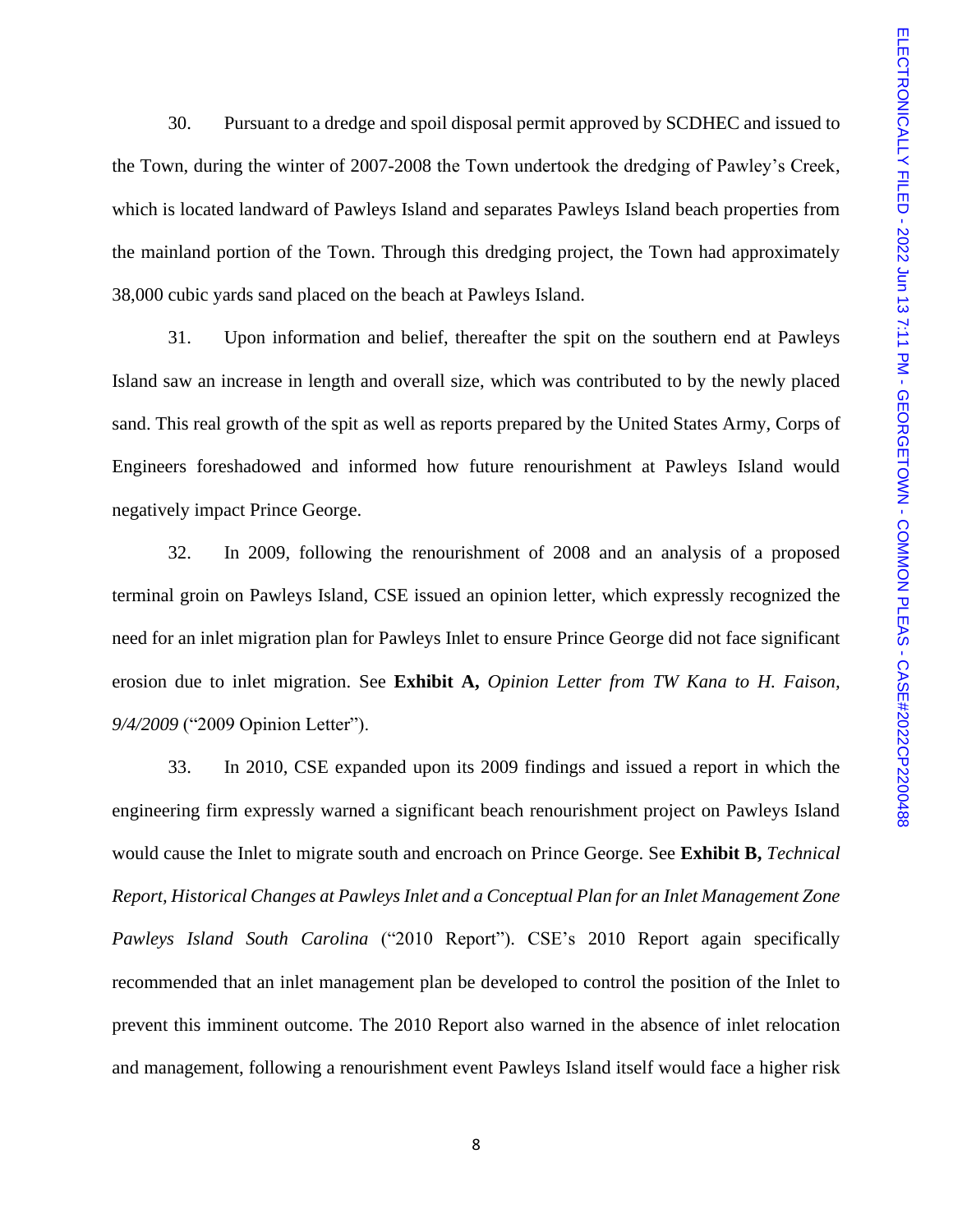30. Pursuant to a dredge and spoil disposal permit approved by SCDHEC and issued to the Town, during the winter of 2007-2008 the Town undertook the dredging of Pawley's Creek, which is located landward of Pawleys Island and separates Pawleys Island beach properties from the mainland portion of the Town. Through this dredging project, the Town had approximately 38,000 cubic yards sand placed on the beach at Pawleys Island.

31. Upon information and belief, thereafter the spit on the southern end at Pawleys Island saw an increase in length and overall size, which was contributed to by the newly placed sand. This real growth of the spit as well as reports prepared by the United States Army, Corps of Engineers foreshadowed and informed how future renourishment at Pawleys Island would negatively impact Prince George.

32. In 2009, following the renourishment of 2008 and an analysis of a proposed terminal groin on Pawleys Island, CSE issued an opinion letter, which expressly recognized the need for an inlet migration plan for Pawleys Inlet to ensure Prince George did not face significant erosion due to inlet migration. See **Exhibit A,** *Opinion Letter from TW Kana to H. Faison, 9/4/2009* ("2009 Opinion Letter").

33. In 2010, CSE expanded upon its 2009 findings and issued a report in which the engineering firm expressly warned a significant beach renourishment project on Pawleys Island would cause the Inlet to migrate south and encroach on Prince George. See **Exhibit B,** *Technical Report, Historical Changes at Pawleys Inlet and a Conceptual Plan for an Inlet Management Zone Pawleys Island South Carolina* ("2010 Report"). CSE's 2010 Report again specifically recommended that an inlet management plan be developed to control the position of the Inlet to prevent this imminent outcome. The 2010 Report also warned in the absence of inlet relocation and management, following a renourishment event Pawleys Island itself would face a higher risk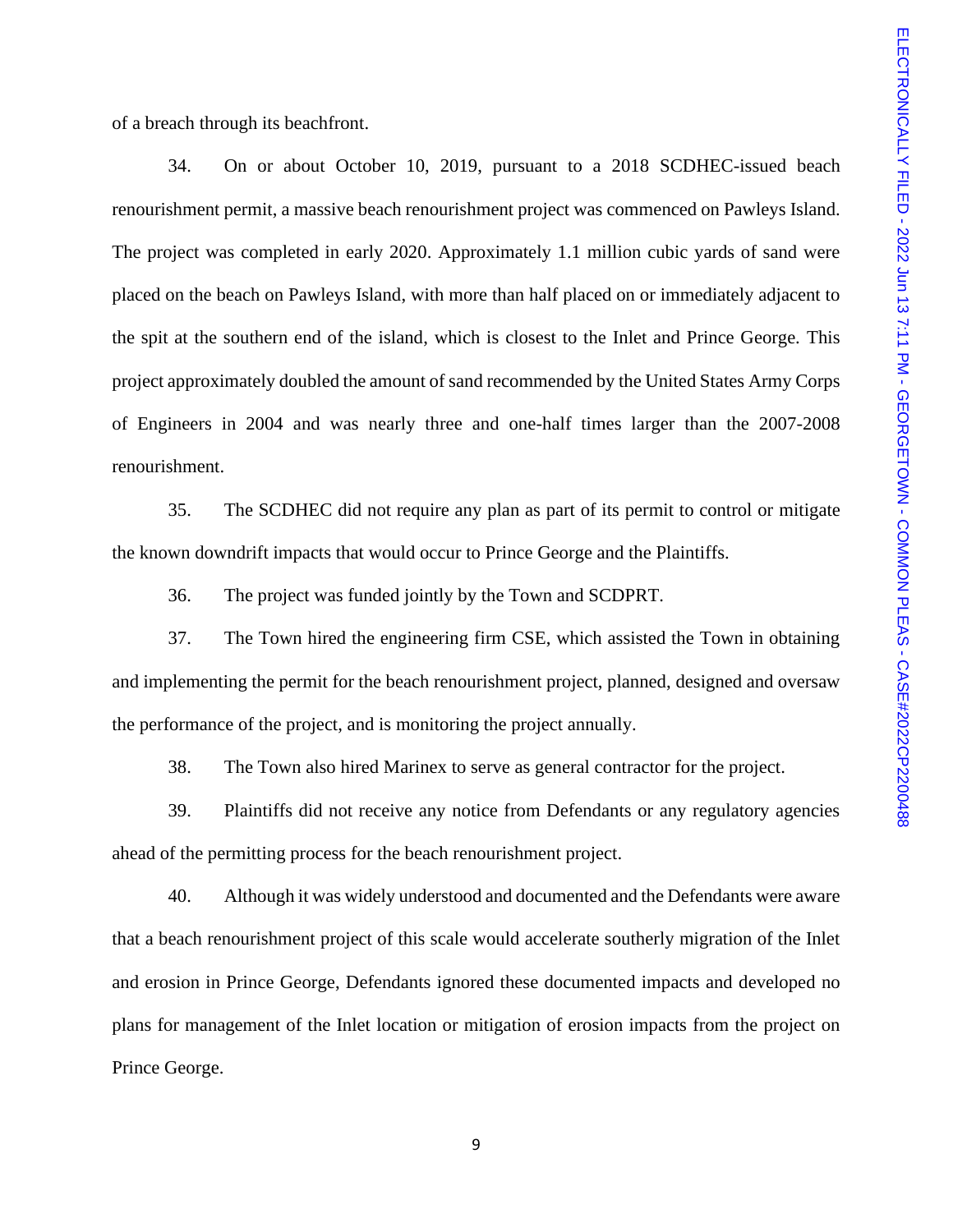of a breach through its beachfront.

34. On or about October 10, 2019, pursuant to a 2018 SCDHEC-issued beach renourishment permit, a massive beach renourishment project was commenced on Pawleys Island. The project was completed in early 2020. Approximately 1.1 million cubic yards of sand were placed on the beach on Pawleys Island, with more than half placed on or immediately adjacent to the spit at the southern end of the island, which is closest to the Inlet and Prince George. This project approximately doubled the amount of sand recommended by the United States Army Corps of Engineers in 2004 and was nearly three and one-half times larger than the 2007-2008 renourishment.

35. The SCDHEC did not require any plan as part of its permit to control or mitigate the known downdrift impacts that would occur to Prince George and the Plaintiffs.

36. The project was funded jointly by the Town and SCDPRT.

37. The Town hired the engineering firm CSE, which assisted the Town in obtaining and implementing the permit for the beach renourishment project, planned, designed and oversaw the performance of the project, and is monitoring the project annually.

38. The Town also hired Marinex to serve as general contractor for the project.

39. Plaintiffs did not receive any notice from Defendants or any regulatory agencies ahead of the permitting process for the beach renourishment project.

40. Although it was widely understood and documented and the Defendants were aware that a beach renourishment project of this scale would accelerate southerly migration of the Inlet and erosion in Prince George, Defendants ignored these documented impacts and developed no plans for management of the Inlet location or mitigation of erosion impacts from the project on Prince George.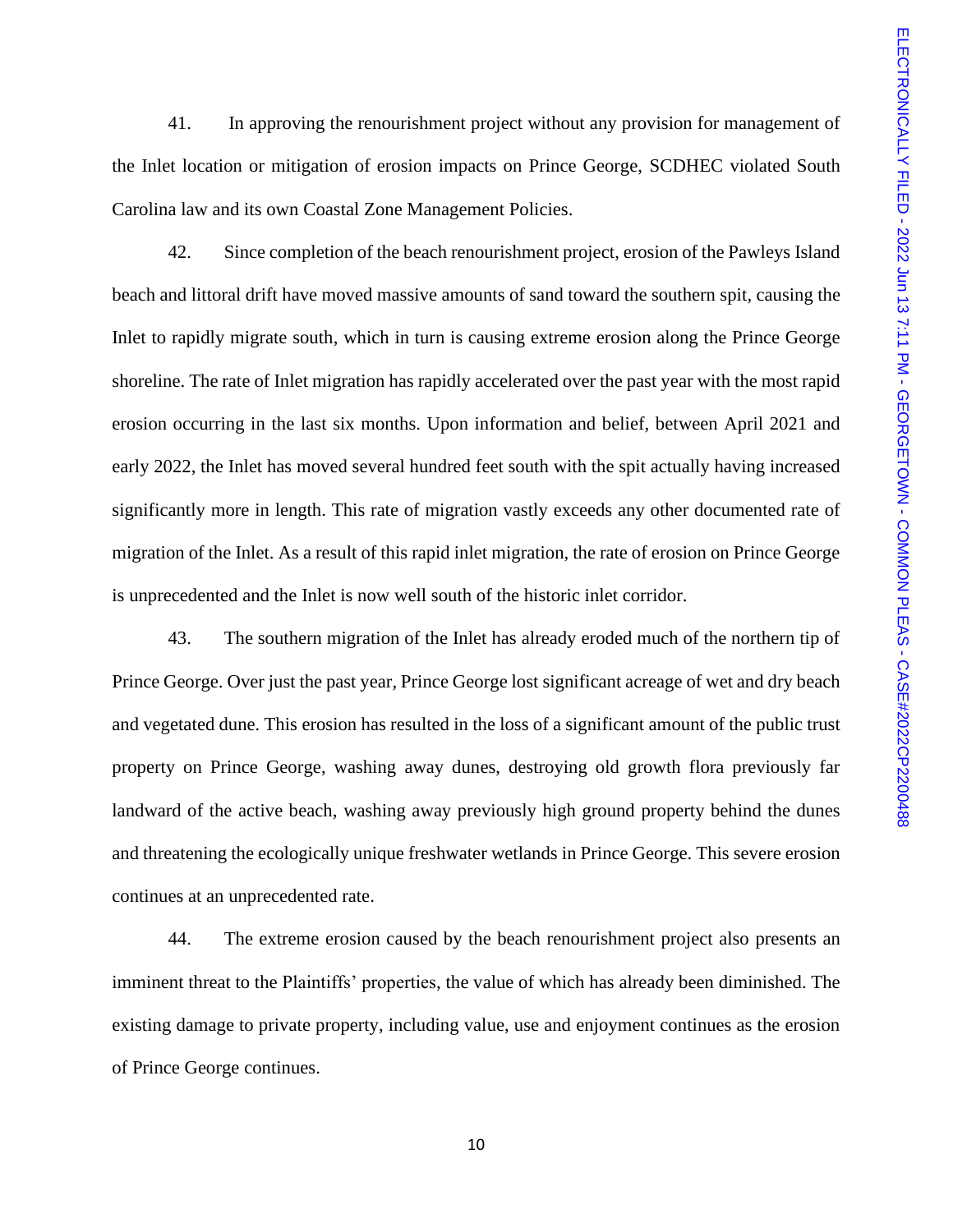41. In approving the renourishment project without any provision for management of the Inlet location or mitigation of erosion impacts on Prince George, SCDHEC violated South Carolina law and its own Coastal Zone Management Policies.

42. Since completion of the beach renourishment project, erosion of the Pawleys Island beach and littoral drift have moved massive amounts of sand toward the southern spit, causing the Inlet to rapidly migrate south, which in turn is causing extreme erosion along the Prince George shoreline. The rate of Inlet migration has rapidly accelerated over the past year with the most rapid erosion occurring in the last six months. Upon information and belief, between April 2021 and early 2022, the Inlet has moved several hundred feet south with the spit actually having increased significantly more in length. This rate of migration vastly exceeds any other documented rate of migration of the Inlet. As a result of this rapid inlet migration, the rate of erosion on Prince George is unprecedented and the Inlet is now well south of the historic inlet corridor.

43. The southern migration of the Inlet has already eroded much of the northern tip of Prince George. Over just the past year, Prince George lost significant acreage of wet and dry beach and vegetated dune. This erosion has resulted in the loss of a significant amount of the public trust property on Prince George, washing away dunes, destroying old growth flora previously far landward of the active beach, washing away previously high ground property behind the dunes and threatening the ecologically unique freshwater wetlands in Prince George. This severe erosion continues at an unprecedented rate.

44. The extreme erosion caused by the beach renourishment project also presents an imminent threat to the Plaintiffs' properties, the value of which has already been diminished. The existing damage to private property, including value, use and enjoyment continues as the erosion of Prince George continues.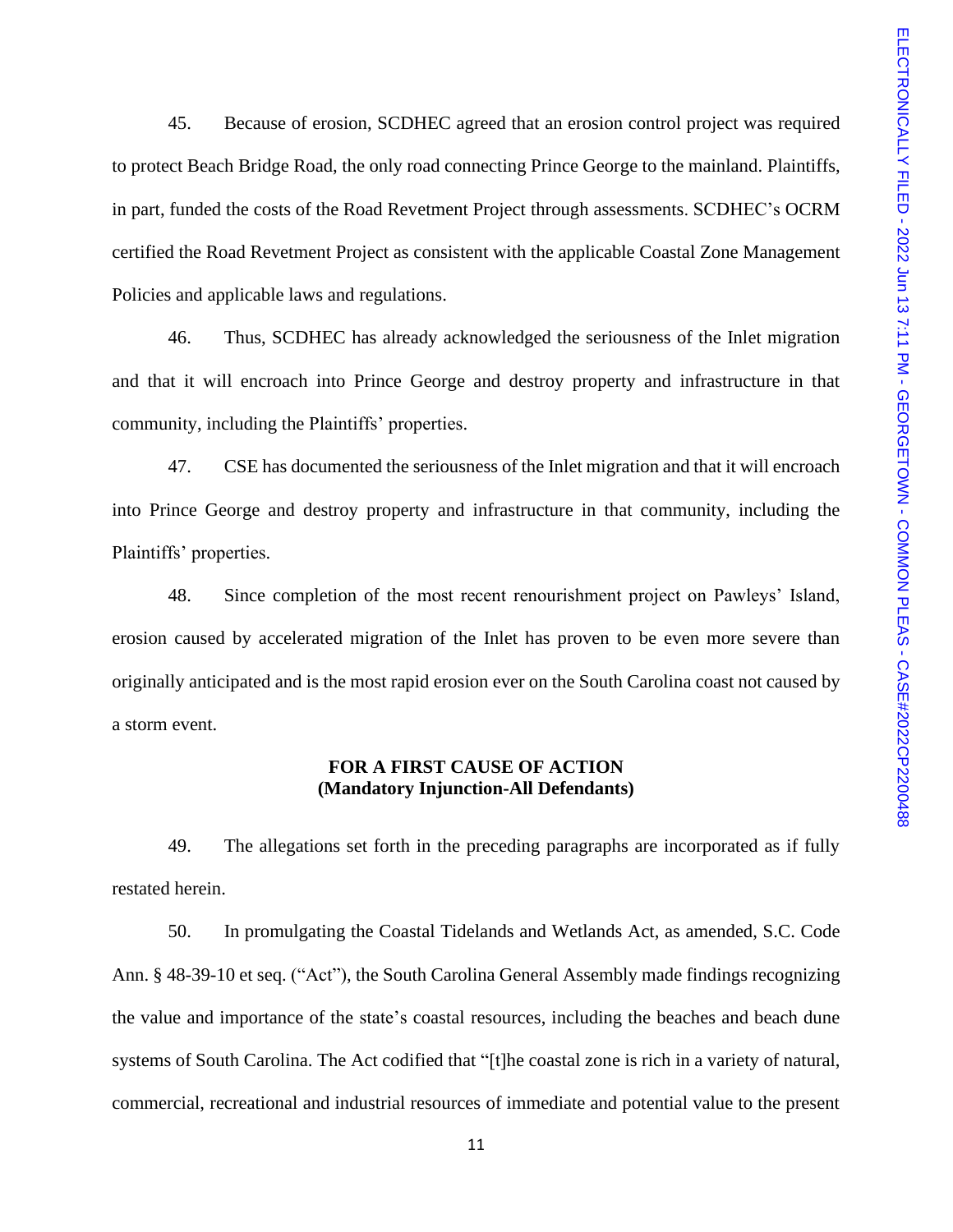45. Because of erosion, SCDHEC agreed that an erosion control project was required to protect Beach Bridge Road, the only road connecting Prince George to the mainland. Plaintiffs, in part, funded the costs of the Road Revetment Project through assessments. SCDHEC's OCRM certified the Road Revetment Project as consistent with the applicable Coastal Zone Management Policies and applicable laws and regulations.

46. Thus, SCDHEC has already acknowledged the seriousness of the Inlet migration and that it will encroach into Prince George and destroy property and infrastructure in that community, including the Plaintiffs' properties.

47. CSE has documented the seriousness of the Inlet migration and that it will encroach into Prince George and destroy property and infrastructure in that community, including the Plaintiffs' properties.

48. Since completion of the most recent renourishment project on Pawleys' Island, erosion caused by accelerated migration of the Inlet has proven to be even more severe than originally anticipated and is the most rapid erosion ever on the South Carolina coast not caused by a storm event.

## **FOR A FIRST CAUSE OF ACTION (Mandatory Injunction-All Defendants)**

49. The allegations set forth in the preceding paragraphs are incorporated as if fully restated herein.

50. In promulgating the Coastal Tidelands and Wetlands Act, as amended, S.C. Code Ann. § 48-39-10 et seq. ("Act"), the South Carolina General Assembly made findings recognizing the value and importance of the state's coastal resources, including the beaches and beach dune systems of South Carolina. The Act codified that "[t]he coastal zone is rich in a variety of natural, commercial, recreational and industrial resources of immediate and potential value to the present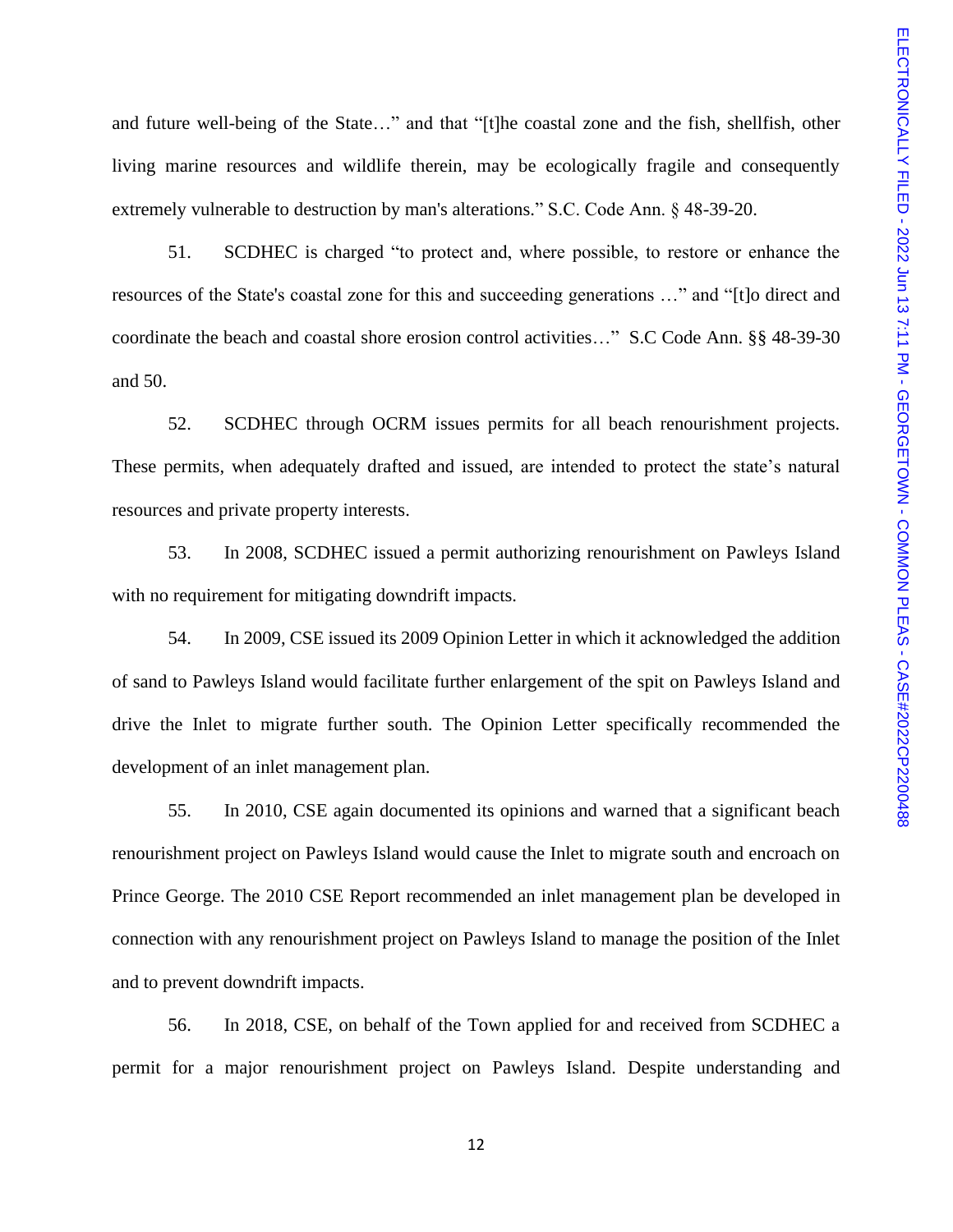and future well-being of the State…" and that "[t]he coastal zone and the fish, shellfish, other living marine resources and wildlife therein, may be ecologically fragile and consequently extremely vulnerable to destruction by man's alterations." S.C. Code Ann. § 48-39-20.

51. SCDHEC is charged "to protect and, where possible, to restore or enhance the resources of the State's coastal zone for this and succeeding generations …" and "[t]o direct and coordinate the beach and coastal shore erosion control activities…" S.C Code Ann. §§ 48-39-30 and 50.

52. SCDHEC through OCRM issues permits for all beach renourishment projects. These permits, when adequately drafted and issued, are intended to protect the state's natural resources and private property interests.

53. In 2008, SCDHEC issued a permit authorizing renourishment on Pawleys Island with no requirement for mitigating downdrift impacts.

54. In 2009, CSE issued its 2009 Opinion Letter in which it acknowledged the addition of sand to Pawleys Island would facilitate further enlargement of the spit on Pawleys Island and drive the Inlet to migrate further south. The Opinion Letter specifically recommended the development of an inlet management plan.

55. In 2010, CSE again documented its opinions and warned that a significant beach renourishment project on Pawleys Island would cause the Inlet to migrate south and encroach on Prince George. The 2010 CSE Report recommended an inlet management plan be developed in connection with any renourishment project on Pawleys Island to manage the position of the Inlet and to prevent downdrift impacts.

56. In 2018, CSE, on behalf of the Town applied for and received from SCDHEC a permit for a major renourishment project on Pawleys Island. Despite understanding and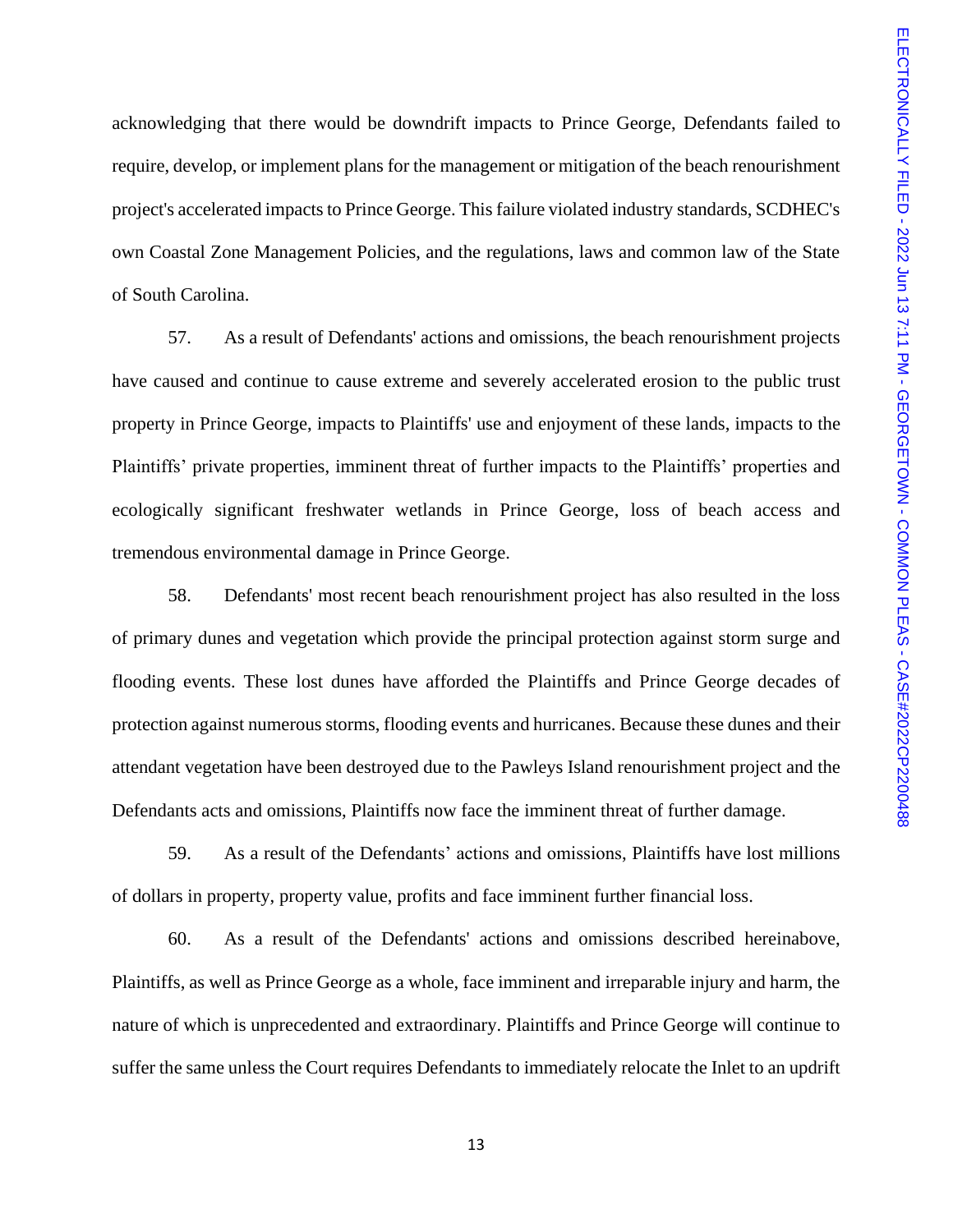acknowledging that there would be downdrift impacts to Prince George, Defendants failed to require, develop, or implement plans for the management or mitigation of the beach renourishment project's accelerated impacts to Prince George. This failure violated industry standards, SCDHEC's own Coastal Zone Management Policies, and the regulations, laws and common law of the State of South Carolina.

57. As a result of Defendants' actions and omissions, the beach renourishment projects have caused and continue to cause extreme and severely accelerated erosion to the public trust property in Prince George, impacts to Plaintiffs' use and enjoyment of these lands, impacts to the Plaintiffs' private properties, imminent threat of further impacts to the Plaintiffs' properties and ecologically significant freshwater wetlands in Prince George, loss of beach access and tremendous environmental damage in Prince George.

58. Defendants' most recent beach renourishment project has also resulted in the loss of primary dunes and vegetation which provide the principal protection against storm surge and flooding events. These lost dunes have afforded the Plaintiffs and Prince George decades of protection against numerous storms, flooding events and hurricanes. Because these dunes and their attendant vegetation have been destroyed due to the Pawleys Island renourishment project and the Defendants acts and omissions, Plaintiffs now face the imminent threat of further damage.

59. As a result of the Defendants' actions and omissions, Plaintiffs have lost millions of dollars in property, property value, profits and face imminent further financial loss.

60. As a result of the Defendants' actions and omissions described hereinabove, Plaintiffs, as well as Prince George as a whole, face imminent and irreparable injury and harm, the nature of which is unprecedented and extraordinary. Plaintiffs and Prince George will continue to suffer the same unless the Court requires Defendants to immediately relocate the Inlet to an updrift

13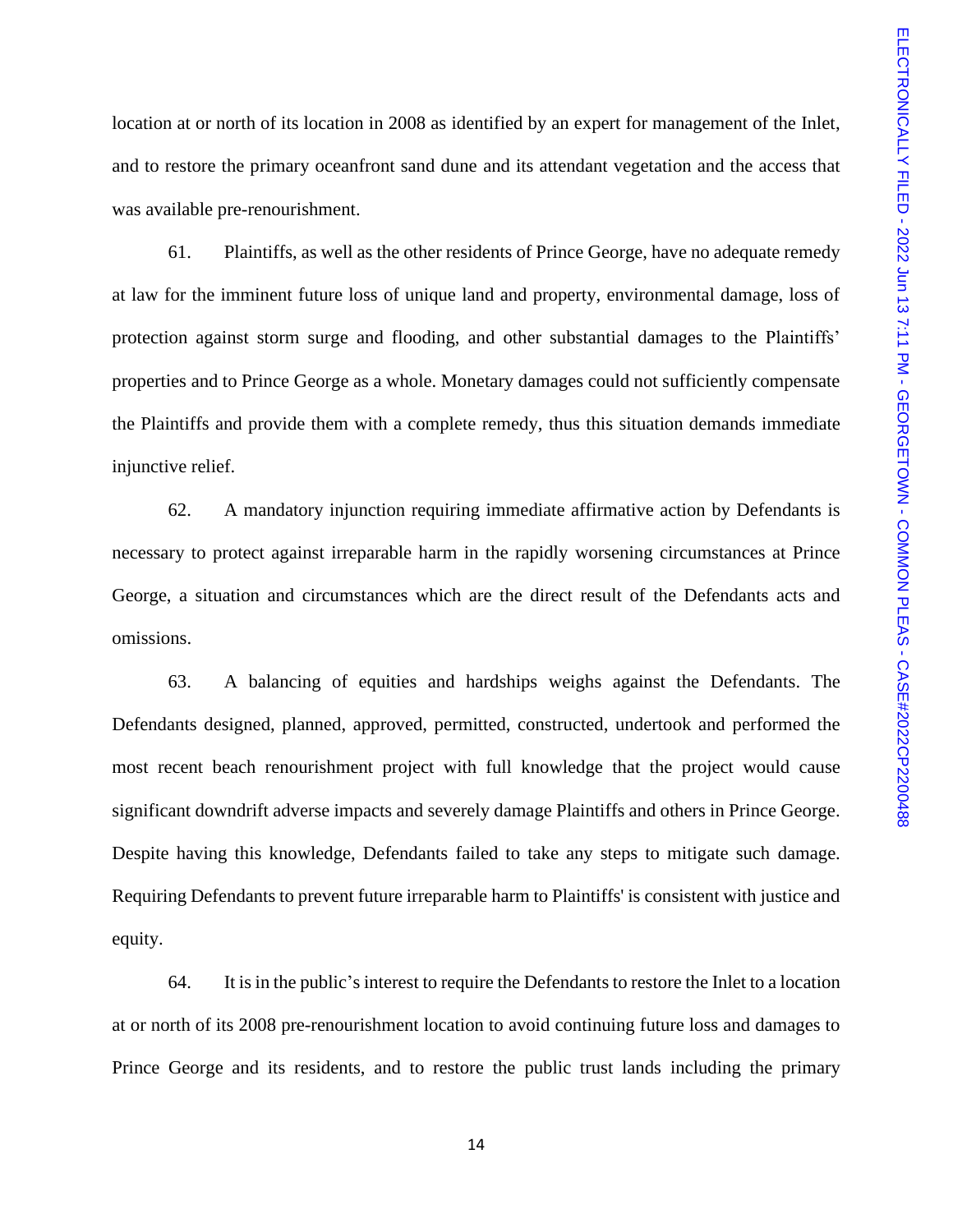location at or north of its location in 2008 as identified by an expert for management of the Inlet, and to restore the primary oceanfront sand dune and its attendant vegetation and the access that was available pre-renourishment.

61. Plaintiffs, as well as the other residents of Prince George, have no adequate remedy at law for the imminent future loss of unique land and property, environmental damage, loss of protection against storm surge and flooding, and other substantial damages to the Plaintiffs' properties and to Prince George as a whole. Monetary damages could not sufficiently compensate the Plaintiffs and provide them with a complete remedy, thus this situation demands immediate injunctive relief.

62. A mandatory injunction requiring immediate affirmative action by Defendants is necessary to protect against irreparable harm in the rapidly worsening circumstances at Prince George, a situation and circumstances which are the direct result of the Defendants acts and omissions.

63. A balancing of equities and hardships weighs against the Defendants. The Defendants designed, planned, approved, permitted, constructed, undertook and performed the most recent beach renourishment project with full knowledge that the project would cause significant downdrift adverse impacts and severely damage Plaintiffs and others in Prince George. Despite having this knowledge, Defendants failed to take any steps to mitigate such damage. Requiring Defendants to prevent future irreparable harm to Plaintiffs' is consistent with justice and equity.

64. It is in the public's interest to require the Defendants to restore the Inlet to a location at or north of its 2008 pre-renourishment location to avoid continuing future loss and damages to Prince George and its residents, and to restore the public trust lands including the primary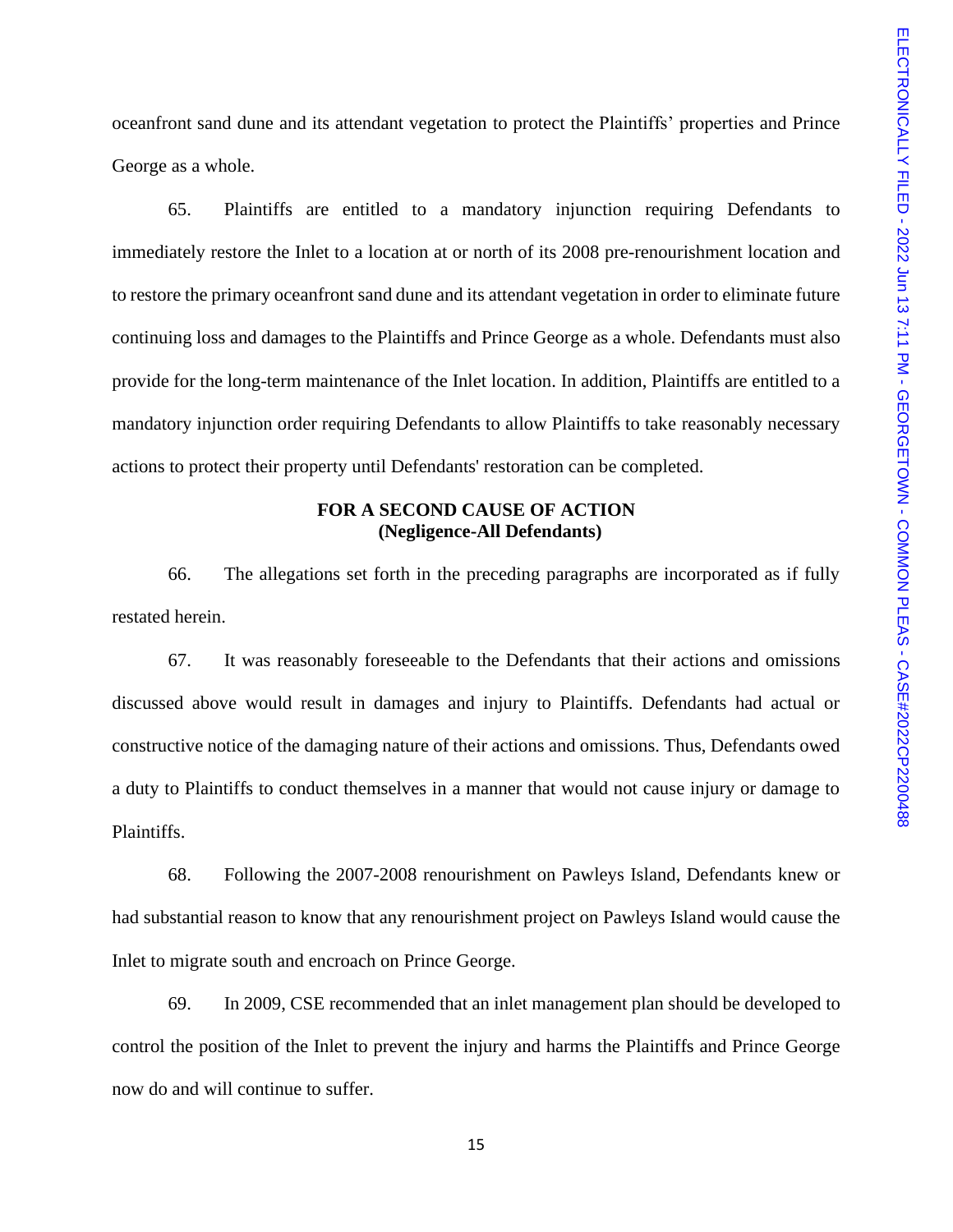oceanfront sand dune and its attendant vegetation to protect the Plaintiffs' properties and Prince George as a whole.

65. Plaintiffs are entitled to a mandatory injunction requiring Defendants to immediately restore the Inlet to a location at or north of its 2008 pre-renourishment location and to restore the primary oceanfront sand dune and its attendant vegetation in order to eliminate future continuing loss and damages to the Plaintiffs and Prince George as a whole. Defendants must also provide for the long-term maintenance of the Inlet location. In addition, Plaintiffs are entitled to a mandatory injunction order requiring Defendants to allow Plaintiffs to take reasonably necessary actions to protect their property until Defendants' restoration can be completed.

## **FOR A SECOND CAUSE OF ACTION (Negligence-All Defendants)**

66. The allegations set forth in the preceding paragraphs are incorporated as if fully restated herein.

67. It was reasonably foreseeable to the Defendants that their actions and omissions discussed above would result in damages and injury to Plaintiffs. Defendants had actual or constructive notice of the damaging nature of their actions and omissions. Thus, Defendants owed a duty to Plaintiffs to conduct themselves in a manner that would not cause injury or damage to Plaintiffs.

68. Following the 2007-2008 renourishment on Pawleys Island, Defendants knew or had substantial reason to know that any renourishment project on Pawleys Island would cause the Inlet to migrate south and encroach on Prince George.

69. In 2009, CSE recommended that an inlet management plan should be developed to control the position of the Inlet to prevent the injury and harms the Plaintiffs and Prince George now do and will continue to suffer.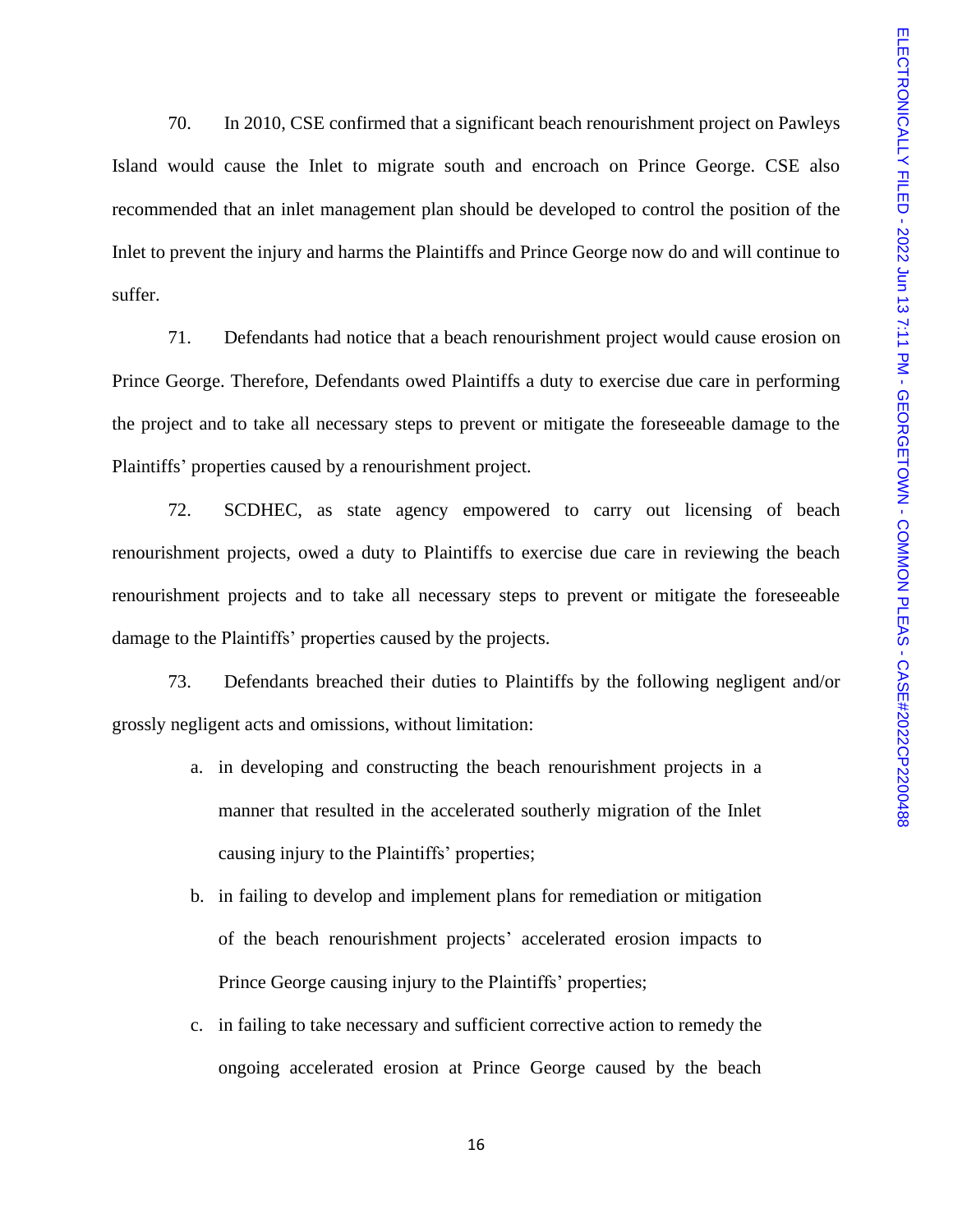70. In 2010, CSE confirmed that a significant beach renourishment project on Pawleys Island would cause the Inlet to migrate south and encroach on Prince George. CSE also recommended that an inlet management plan should be developed to control the position of the Inlet to prevent the injury and harms the Plaintiffs and Prince George now do and will continue to suffer.

71. Defendants had notice that a beach renourishment project would cause erosion on Prince George. Therefore, Defendants owed Plaintiffs a duty to exercise due care in performing the project and to take all necessary steps to prevent or mitigate the foreseeable damage to the Plaintiffs' properties caused by a renourishment project.

72. SCDHEC, as state agency empowered to carry out licensing of beach renourishment projects, owed a duty to Plaintiffs to exercise due care in reviewing the beach renourishment projects and to take all necessary steps to prevent or mitigate the foreseeable damage to the Plaintiffs' properties caused by the projects.

73. Defendants breached their duties to Plaintiffs by the following negligent and/or grossly negligent acts and omissions, without limitation:

- a. in developing and constructing the beach renourishment projects in a manner that resulted in the accelerated southerly migration of the Inlet causing injury to the Plaintiffs' properties;
- b. in failing to develop and implement plans for remediation or mitigation of the beach renourishment projects' accelerated erosion impacts to Prince George causing injury to the Plaintiffs' properties;
- c. in failing to take necessary and sufficient corrective action to remedy the ongoing accelerated erosion at Prince George caused by the beach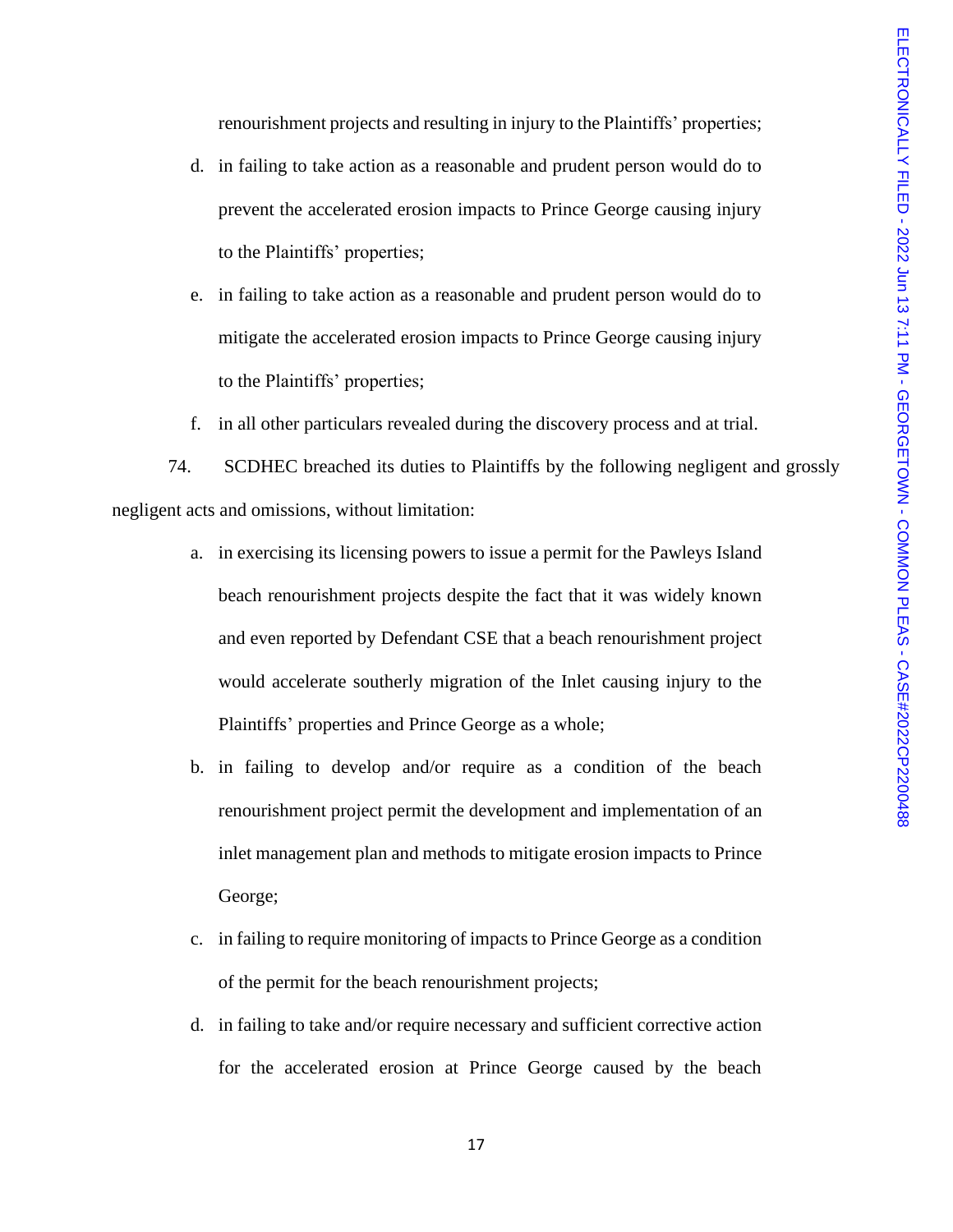renourishment projects and resulting in injury to the Plaintiffs' properties;

- d. in failing to take action as a reasonable and prudent person would do to prevent the accelerated erosion impacts to Prince George causing injury to the Plaintiffs' properties;
- e. in failing to take action as a reasonable and prudent person would do to mitigate the accelerated erosion impacts to Prince George causing injury to the Plaintiffs' properties;
- f. in all other particulars revealed during the discovery process and at trial.

74. SCDHEC breached its duties to Plaintiffs by the following negligent and grossly negligent acts and omissions, without limitation:

- a. in exercising its licensing powers to issue a permit for the Pawleys Island beach renourishment projects despite the fact that it was widely known and even reported by Defendant CSE that a beach renourishment project would accelerate southerly migration of the Inlet causing injury to the Plaintiffs' properties and Prince George as a whole;
- b. in failing to develop and/or require as a condition of the beach renourishment project permit the development and implementation of an inlet management plan and methods to mitigate erosion impacts to Prince George;
- c. in failing to require monitoring of impacts to Prince George as a condition of the permit for the beach renourishment projects;
- d. in failing to take and/or require necessary and sufficient corrective action for the accelerated erosion at Prince George caused by the beach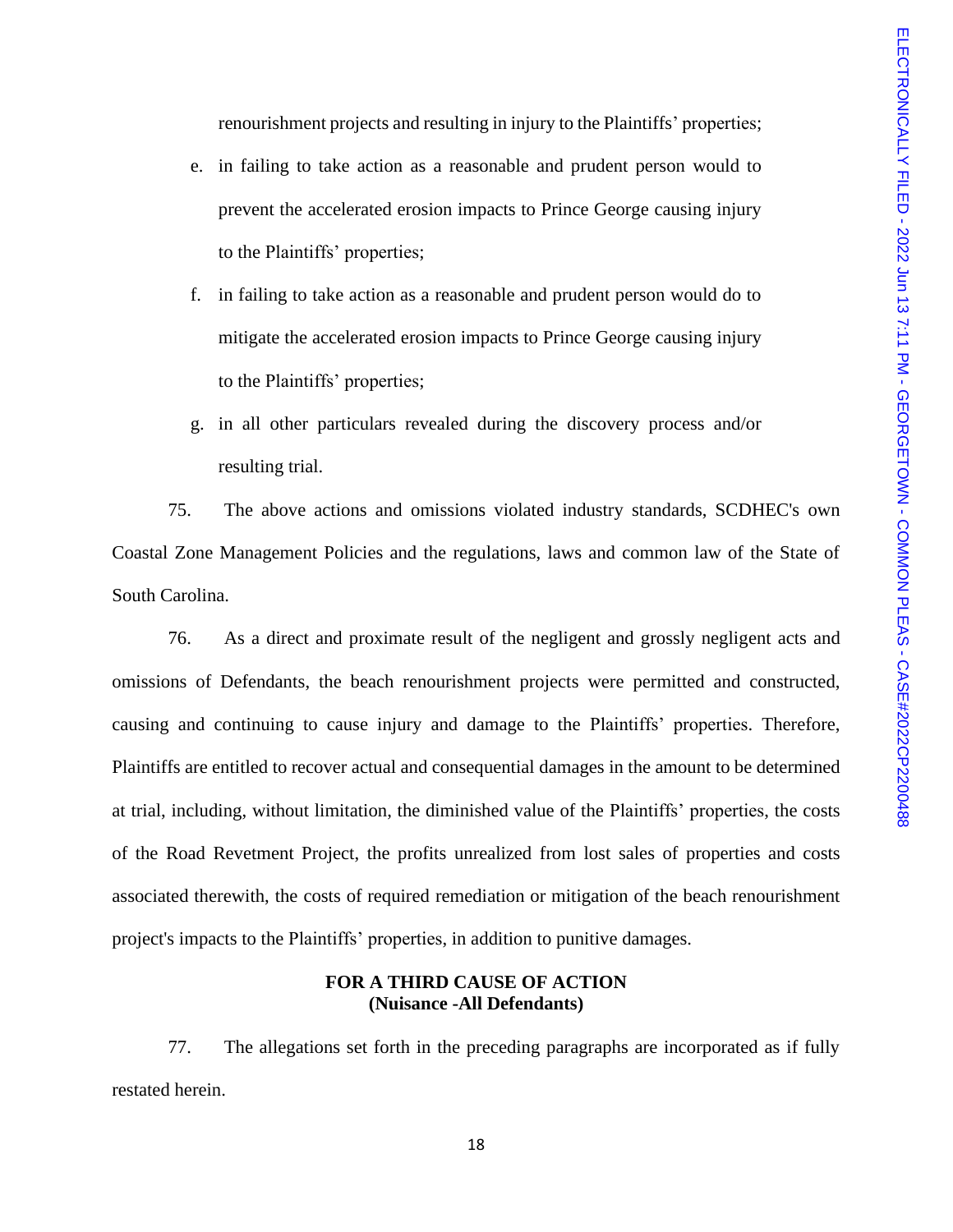renourishment projects and resulting in injury to the Plaintiffs' properties;

- e. in failing to take action as a reasonable and prudent person would to prevent the accelerated erosion impacts to Prince George causing injury to the Plaintiffs' properties;
- f. in failing to take action as a reasonable and prudent person would do to mitigate the accelerated erosion impacts to Prince George causing injury to the Plaintiffs' properties;
- g. in all other particulars revealed during the discovery process and/or resulting trial.

75. The above actions and omissions violated industry standards, SCDHEC's own Coastal Zone Management Policies and the regulations, laws and common law of the State of South Carolina.

76. As a direct and proximate result of the negligent and grossly negligent acts and omissions of Defendants, the beach renourishment projects were permitted and constructed, causing and continuing to cause injury and damage to the Plaintiffs' properties. Therefore, Plaintiffs are entitled to recover actual and consequential damages in the amount to be determined at trial, including, without limitation, the diminished value of the Plaintiffs' properties, the costs of the Road Revetment Project, the profits unrealized from lost sales of properties and costs associated therewith, the costs of required remediation or mitigation of the beach renourishment project's impacts to the Plaintiffs' properties, in addition to punitive damages.

### **FOR A THIRD CAUSE OF ACTION (Nuisance -All Defendants)**

77. The allegations set forth in the preceding paragraphs are incorporated as if fully restated herein.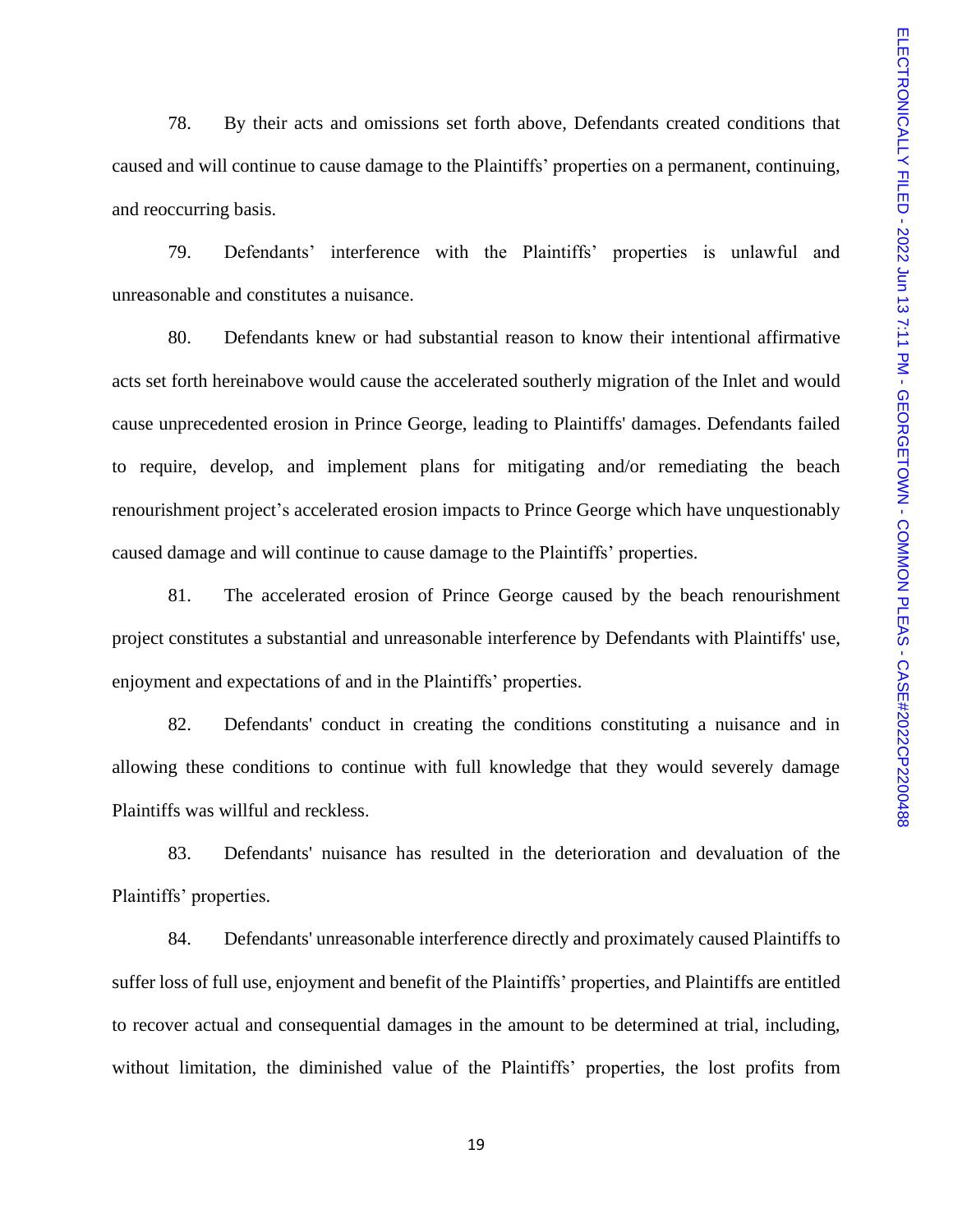78. By their acts and omissions set forth above, Defendants created conditions that caused and will continue to cause damage to the Plaintiffs' properties on a permanent, continuing, and reoccurring basis.

79. Defendants' interference with the Plaintiffs' properties is unlawful and unreasonable and constitutes a nuisance.

80. Defendants knew or had substantial reason to know their intentional affirmative acts set forth hereinabove would cause the accelerated southerly migration of the Inlet and would cause unprecedented erosion in Prince George, leading to Plaintiffs' damages. Defendants failed to require, develop, and implement plans for mitigating and/or remediating the beach renourishment project's accelerated erosion impacts to Prince George which have unquestionably caused damage and will continue to cause damage to the Plaintiffs' properties.

81. The accelerated erosion of Prince George caused by the beach renourishment project constitutes a substantial and unreasonable interference by Defendants with Plaintiffs' use, enjoyment and expectations of and in the Plaintiffs' properties.

82. Defendants' conduct in creating the conditions constituting a nuisance and in allowing these conditions to continue with full knowledge that they would severely damage Plaintiffs was willful and reckless.

83. Defendants' nuisance has resulted in the deterioration and devaluation of the Plaintiffs' properties.

84. Defendants' unreasonable interference directly and proximately caused Plaintiffs to suffer loss of full use, enjoyment and benefit of the Plaintiffs' properties, and Plaintiffs are entitled to recover actual and consequential damages in the amount to be determined at trial, including, without limitation, the diminished value of the Plaintiffs' properties, the lost profits from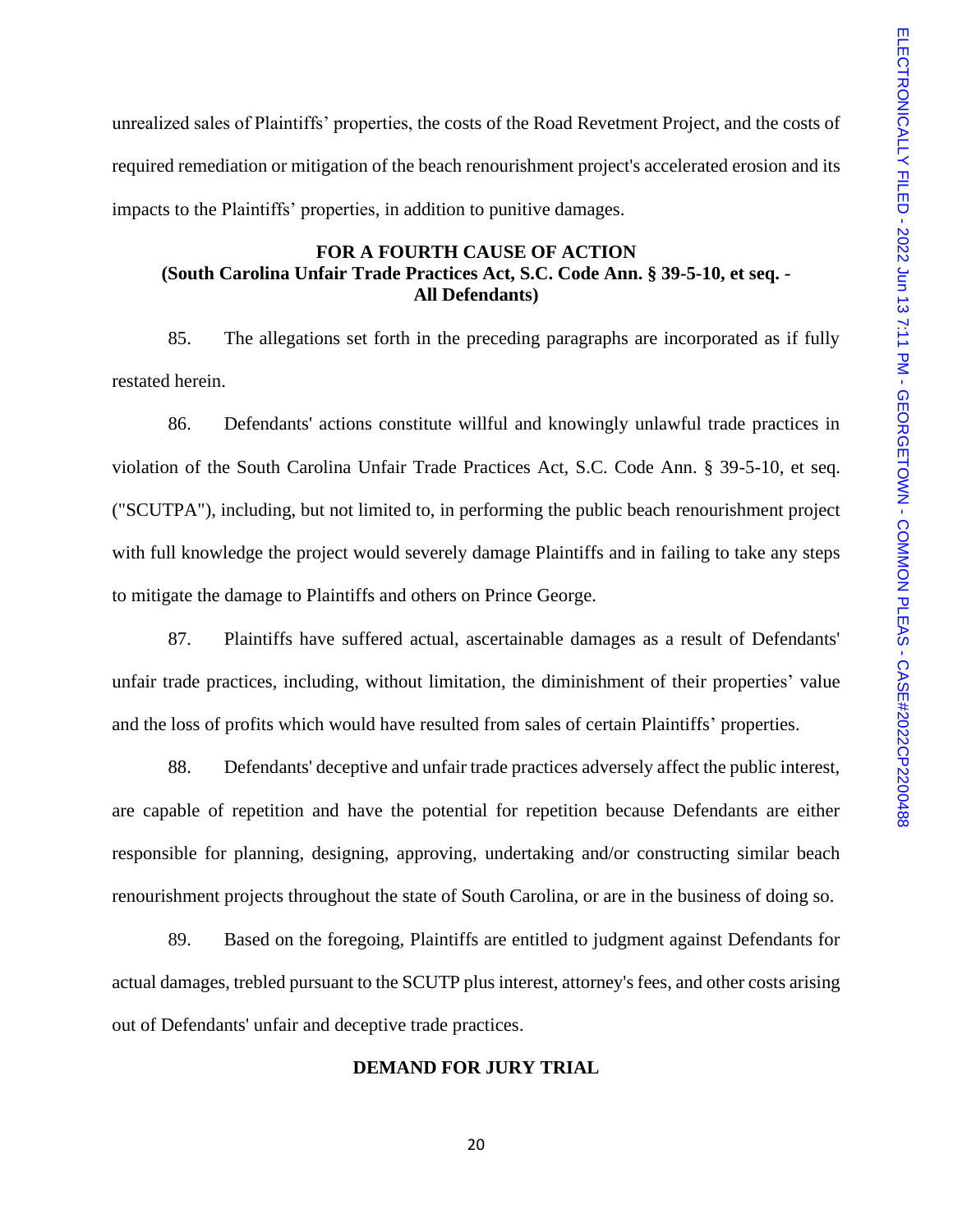unrealized sales of Plaintiffs' properties, the costs of the Road Revetment Project, and the costs of required remediation or mitigation of the beach renourishment project's accelerated erosion and its impacts to the Plaintiffs' properties, in addition to punitive damages.

## **FOR A FOURTH CAUSE OF ACTION (South Carolina Unfair Trade Practices Act, S.C. Code Ann. § 39-5-10, et seq. - All Defendants)**

85. The allegations set forth in the preceding paragraphs are incorporated as if fully restated herein.

86. Defendants' actions constitute willful and knowingly unlawful trade practices in violation of the South Carolina Unfair Trade Practices Act, S.C. Code Ann. § 39-5-10, et seq. ("SCUTPA"), including, but not limited to, in performing the public beach renourishment project with full knowledge the project would severely damage Plaintiffs and in failing to take any steps to mitigate the damage to Plaintiffs and others on Prince George.

87. Plaintiffs have suffered actual, ascertainable damages as a result of Defendants' unfair trade practices, including, without limitation, the diminishment of their properties' value and the loss of profits which would have resulted from sales of certain Plaintiffs' properties.

88. Defendants' deceptive and unfair trade practices adversely affect the public interest, are capable of repetition and have the potential for repetition because Defendants are either responsible for planning, designing, approving, undertaking and/or constructing similar beach renourishment projects throughout the state of South Carolina, or are in the business of doing so.

89. Based on the foregoing, Plaintiffs are entitled to judgment against Defendants for actual damages, trebled pursuant to the SCUTP plus interest, attorney's fees, and other costs arising out of Defendants' unfair and deceptive trade practices.

### **DEMAND FOR JURY TRIAL**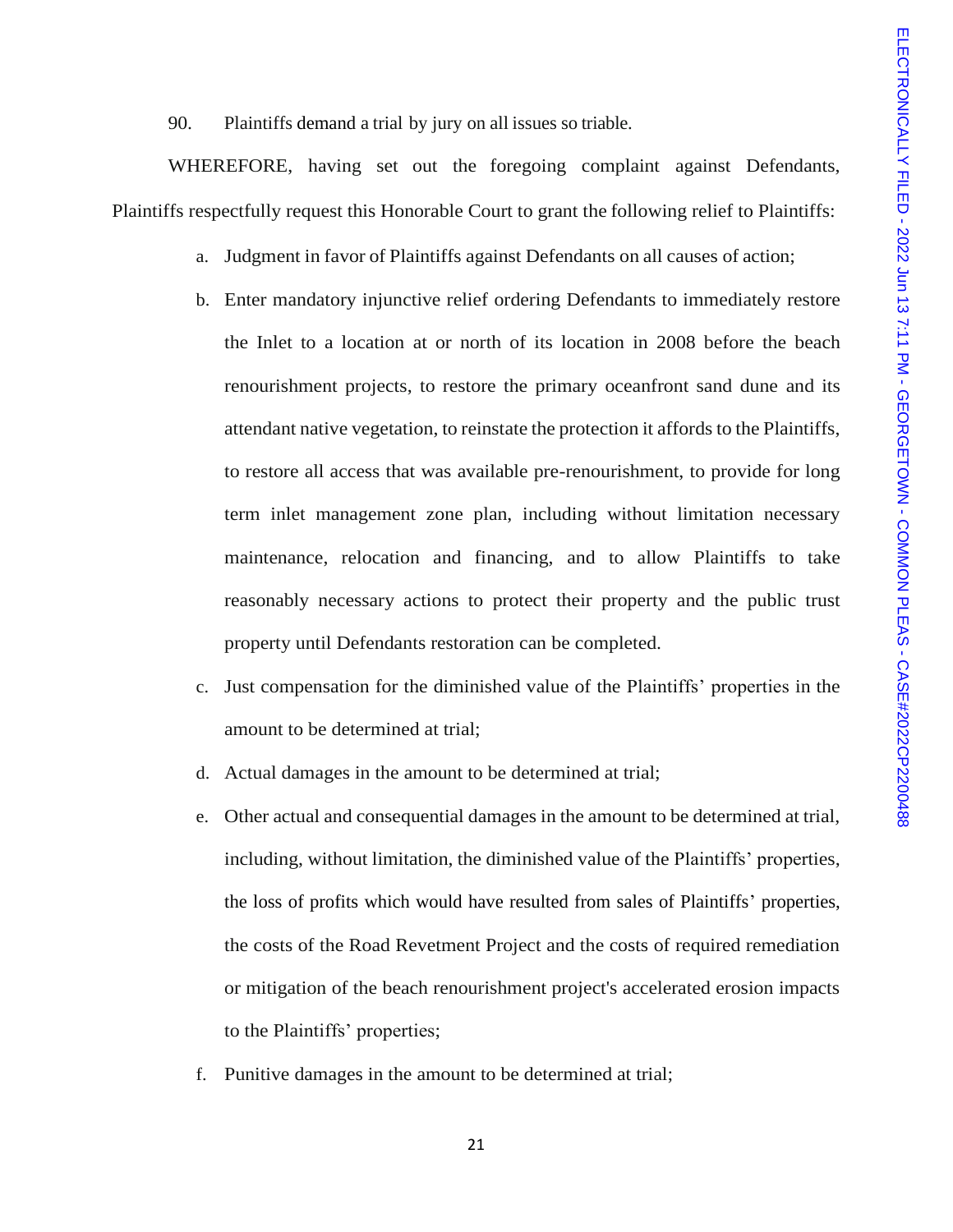90. Plaintiffs demand a trial by jury on all issues so triable.

WHEREFORE, having set out the foregoing complaint against Defendants, Plaintiffs respectfully request this Honorable Court to grant the following relief to Plaintiffs:

- a. Judgment in favor of Plaintiffs against Defendants on all causes of action;
- b. Enter mandatory injunctive relief ordering Defendants to immediately restore the Inlet to a location at or north of its location in 2008 before the beach renourishment projects, to restore the primary oceanfront sand dune and its attendant native vegetation, to reinstate the protection it affords to the Plaintiffs, to restore all access that was available pre-renourishment, to provide for long term inlet management zone plan, including without limitation necessary maintenance, relocation and financing, and to allow Plaintiffs to take reasonably necessary actions to protect their property and the public trust property until Defendants restoration can be completed.
- c. Just compensation for the diminished value of the Plaintiffs' properties in the amount to be determined at trial;
- d. Actual damages in the amount to be determined at trial;
- e. Other actual and consequential damages in the amount to be determined at trial, including, without limitation, the diminished value of the Plaintiffs' properties, the loss of profits which would have resulted from sales of Plaintiffs' properties, the costs of the Road Revetment Project and the costs of required remediation or mitigation of the beach renourishment project's accelerated erosion impacts to the Plaintiffs' properties;
- f. Punitive damages in the amount to be determined at trial;